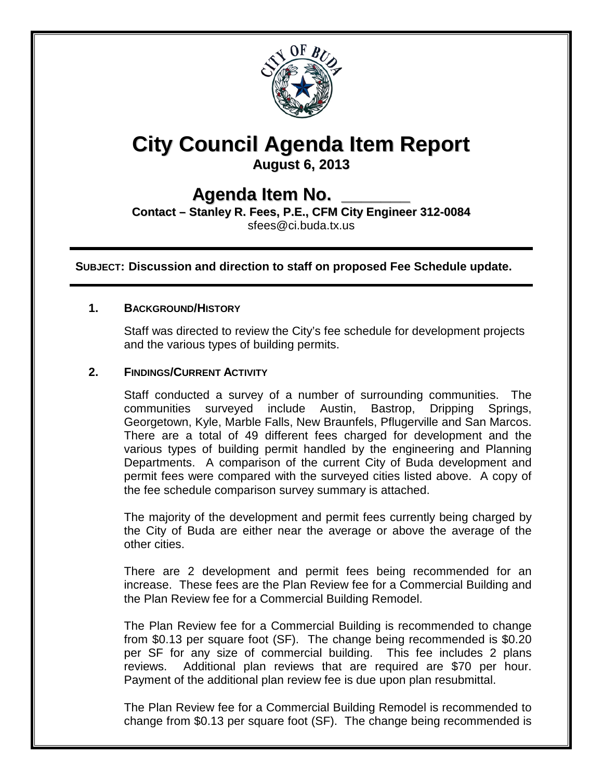

# **City Council Agenda Item Report**

**August 6, 2013**

## **Agenda Item No. \_\_\_\_\_\_\_**

**Contact – Stanley R. Fees, P.E., CFM City Engineer 312-0084**

sfees@ci.buda.tx.us

**SUBJECT: Discussion and direction to staff on proposed Fee Schedule update.**

## **1. BACKGROUND/HISTORY**

Staff was directed to review the City's fee schedule for development projects and the various types of building permits.

## **2. FINDINGS/CURRENT ACTIVITY**

Staff conducted a survey of a number of surrounding communities. The communities surveyed include Austin, Bastrop, Dripping Springs, Georgetown, Kyle, Marble Falls, New Braunfels, Pflugerville and San Marcos. There are a total of 49 different fees charged for development and the various types of building permit handled by the engineering and Planning Departments. A comparison of the current City of Buda development and permit fees were compared with the surveyed cities listed above. A copy of the fee schedule comparison survey summary is attached.

The majority of the development and permit fees currently being charged by the City of Buda are either near the average or above the average of the other cities.

There are 2 development and permit fees being recommended for an increase. These fees are the Plan Review fee for a Commercial Building and the Plan Review fee for a Commercial Building Remodel.

The Plan Review fee for a Commercial Building is recommended to change from \$0.13 per square foot (SF). The change being recommended is \$0.20 per SF for any size of commercial building. This fee includes 2 plans reviews. Additional plan reviews that are required are \$70 per hour. Payment of the additional plan review fee is due upon plan resubmittal.

The Plan Review fee for a Commercial Building Remodel is recommended to change from \$0.13 per square foot (SF). The change being recommended is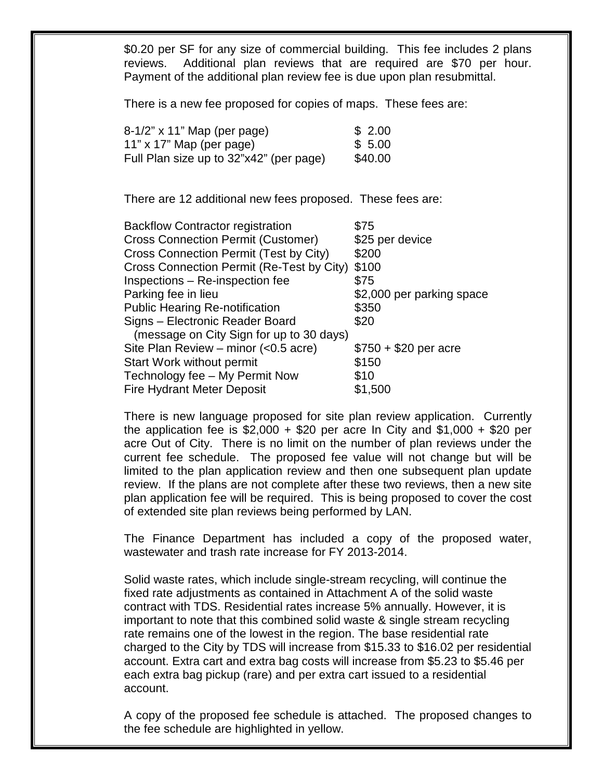\$0.20 per SF for any size of commercial building. This fee includes 2 plans reviews. Additional plan reviews that are required are \$70 per hour. Payment of the additional plan review fee is due upon plan resubmittal.

There is a new fee proposed for copies of maps. These fees are:

| 8-1/2" x 11" Map (per page)             | \$2.00  |
|-----------------------------------------|---------|
| 11" x 17" Map (per page)                | \$5.00  |
| Full Plan size up to 32"x42" (per page) | \$40.00 |

There are 12 additional new fees proposed. These fees are:

| <b>Backflow Contractor registration</b>   | \$75                      |
|-------------------------------------------|---------------------------|
| <b>Cross Connection Permit (Customer)</b> | \$25 per device           |
| Cross Connection Permit (Test by City)    | \$200                     |
| Cross Connection Permit (Re-Test by City) | \$100                     |
| Inspections - Re-inspection fee           | \$75                      |
| Parking fee in lieu                       | \$2,000 per parking space |
| <b>Public Hearing Re-notification</b>     | \$350                     |
| Signs - Electronic Reader Board           | \$20                      |
| (message on City Sign for up to 30 days)  |                           |
| Site Plan Review - minor (<0.5 acre)      | $$750 + $20$ per acre     |
| <b>Start Work without permit</b>          | \$150                     |
| Technology fee - My Permit Now            | \$10                      |
| <b>Fire Hydrant Meter Deposit</b>         | \$1,500                   |

There is new language proposed for site plan review application. Currently the application fee is  $$2,000 + $20$  per acre In City and  $$1,000 + $20$  per acre Out of City. There is no limit on the number of plan reviews under the current fee schedule. The proposed fee value will not change but will be limited to the plan application review and then one subsequent plan update review. If the plans are not complete after these two reviews, then a new site plan application fee will be required. This is being proposed to cover the cost of extended site plan reviews being performed by LAN.

The Finance Department has included a copy of the proposed water, wastewater and trash rate increase for FY 2013-2014.

Solid waste rates, which include single-stream recycling, will continue the fixed rate adjustments as contained in Attachment A of the solid waste contract with TDS. Residential rates increase 5% annually. However, it is important to note that this combined solid waste & single stream recycling rate remains one of the lowest in the region. The base residential rate charged to the City by TDS will increase from \$15.33 to \$16.02 per residential account. Extra cart and extra bag costs will increase from \$5.23 to \$5.46 per each extra bag pickup (rare) and per extra cart issued to a residential account.

A copy of the proposed fee schedule is attached. The proposed changes to the fee schedule are highlighted in yellow.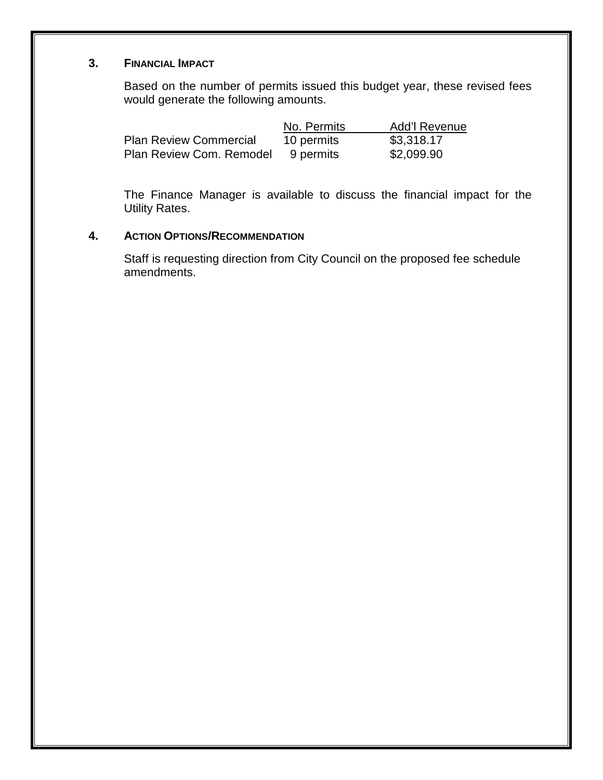## **3. FINANCIAL IMPACT**

Based on the number of permits issued this budget year, these revised fees would generate the following amounts.

|                               | No. Permits | Add'l Revenue |
|-------------------------------|-------------|---------------|
| <b>Plan Review Commercial</b> | 10 permits  | \$3,318.17    |
| Plan Review Com. Remodel      | 9 permits   | \$2,099.90    |

The Finance Manager is available to discuss the financial impact for the Utility Rates.

## **4. ACTION OPTIONS/RECOMMENDATION**

Staff is requesting direction from City Council on the proposed fee schedule amendments.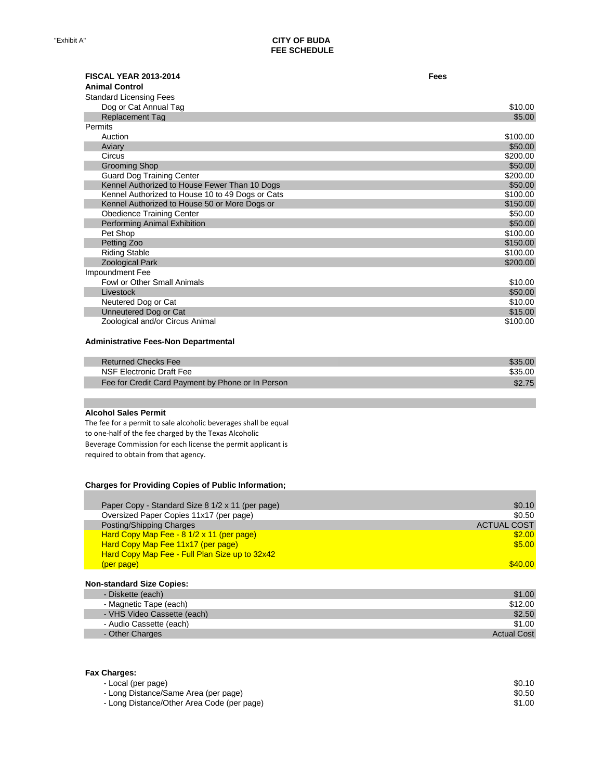| <b>FISCAL YEAR 2013-2014</b><br><b>Animal Control</b><br><b>Standard Licensing Fees</b> | Fees     |
|-----------------------------------------------------------------------------------------|----------|
| Dog or Cat Annual Tag                                                                   | \$10.00  |
| Replacement Tag                                                                         | \$5.00   |
| Permits                                                                                 |          |
| Auction                                                                                 | \$100.00 |
| Aviary                                                                                  | \$50.00  |
| Circus                                                                                  | \$200.00 |
| <b>Grooming Shop</b>                                                                    | \$50.00  |
| <b>Guard Dog Training Center</b>                                                        | \$200.00 |
| Kennel Authorized to House Fewer Than 10 Dogs                                           | \$50.00  |
| Kennel Authorized to House 10 to 49 Dogs or Cats                                        | \$100.00 |
| Kennel Authorized to House 50 or More Dogs or                                           | \$150.00 |
| <b>Obedience Training Center</b>                                                        | \$50.00  |
| <b>Performing Animal Exhibition</b>                                                     | \$50.00  |
| Pet Shop                                                                                | \$100.00 |
| Petting Zoo                                                                             | \$150.00 |
| <b>Riding Stable</b>                                                                    | \$100.00 |
| <b>Zoological Park</b>                                                                  | \$200.00 |
| Impoundment Fee                                                                         |          |
| Fowl or Other Small Animals                                                             | \$10.00  |
| Livestock                                                                               | \$50.00  |
| Neutered Dog or Cat                                                                     | \$10.00  |
| Unneutered Dog or Cat                                                                   | \$15.00  |
| Zoological and/or Circus Animal                                                         | \$100.00 |

#### **Administrative Fees-Non Departmental**

| <b>Returned Checks Fee</b>                        | \$35.00 |
|---------------------------------------------------|---------|
| NSF Electronic Draft Fee                          | \$35.00 |
| Fee for Credit Card Payment by Phone or In Person | \$2.75  |

#### **Alcohol Sales Permit**

П

F

The fee for a permit to sale alcoholic beverages shall be equal to one-half of the fee charged by the Texas Alcoholic Beverage Commission for each license the permit applicant is required to obtain from that agency.

#### **Charges for Providing Copies of Public Information;**

| Paper Copy - Standard Size 8 1/2 x 11 (per page) | \$0.10             |
|--------------------------------------------------|--------------------|
| Oversized Paper Copies 11x17 (per page)          | \$0.50             |
| Posting/Shipping Charges                         | <b>ACTUAL COST</b> |
| Hard Copy Map Fee - 8 1/2 x 11 (per page)        | \$2.00             |
| Hard Copy Map Fee 11x17 (per page)               | \$5.00             |
| Hard Copy Map Fee - Full Plan Size up to 32x42   |                    |
| (per page)                                       | \$40.00            |

#### **Non-standard Size Copies:**

| - Diskette (each)           | \$1.00             |
|-----------------------------|--------------------|
| - Magnetic Tape (each)      | \$12.00            |
| - VHS Video Cassette (each) | \$2.50             |
| - Audio Cassette (each)     | \$1.00             |
| - Other Charges             | <b>Actual Cost</b> |

| <b>Fax Charges:</b>                        |        |
|--------------------------------------------|--------|
| - Local (per page)                         | \$0.10 |
| - Long Distance/Same Area (per page)       | \$0.50 |
| - Long Distance/Other Area Code (per page) | \$1.00 |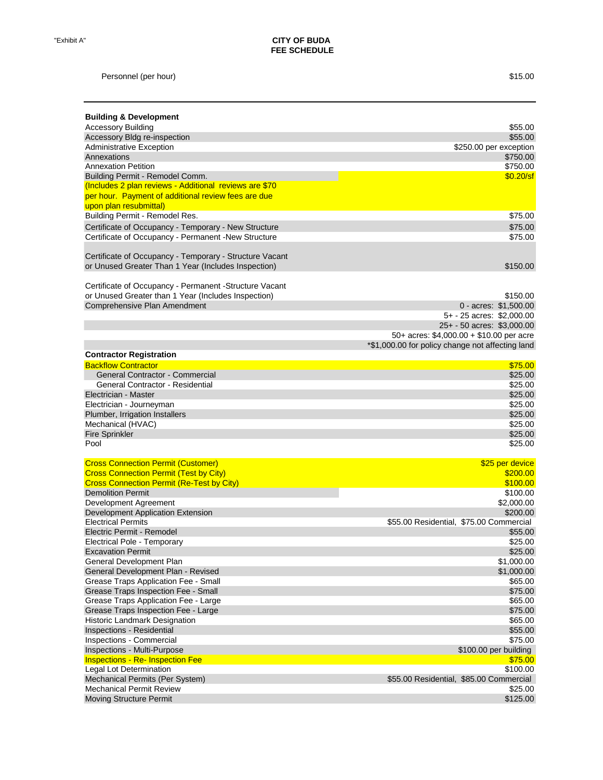Personnel (per hour) \$15.00

| <b>Building &amp; Development</b>                                             |                                                  |
|-------------------------------------------------------------------------------|--------------------------------------------------|
| <b>Accessory Building</b>                                                     | \$55.00                                          |
| Accessory Bldg re-inspection                                                  | \$55.00                                          |
| <b>Administrative Exception</b>                                               | \$250.00 per exception                           |
| Annexations                                                                   | \$750.00                                         |
| <b>Annexation Petition</b>                                                    | \$750.00                                         |
| Building Permit - Remodel Comm.                                               | \$0.20/sf                                        |
| (Includes 2 plan reviews - Additional reviews are \$70                        |                                                  |
| per hour. Payment of additional review fees are due<br>upon plan resubmittal) |                                                  |
| Building Permit - Remodel Res.                                                | \$75.00                                          |
| Certificate of Occupancy - Temporary - New Structure                          | \$75.00                                          |
| Certificate of Occupancy - Permanent -New Structure                           | \$75.00                                          |
|                                                                               |                                                  |
| Certificate of Occupancy - Temporary - Structure Vacant                       |                                                  |
| or Unused Greater Than 1 Year (Includes Inspection)                           | \$150.00                                         |
|                                                                               |                                                  |
| Certificate of Occupancy - Permanent -Structure Vacant                        |                                                  |
| or Unused Greater than 1 Year (Includes Inspection)                           | \$150.00                                         |
| Comprehensive Plan Amendment                                                  | 0 - acres: \$1,500.00                            |
|                                                                               | 5+ - 25 acres: \$2,000.00                        |
|                                                                               | 25+ - 50 acres: \$3,000.00                       |
|                                                                               | 50+ acres: \$4,000.00 + \$10.00 per acre         |
|                                                                               | *\$1,000.00 for policy change not affecting land |
| <b>Contractor Registration</b>                                                |                                                  |
| <b>Backflow Contractor</b>                                                    | \$75.00                                          |
| General Contractor - Commercial                                               | \$25.00                                          |
| General Contractor - Residential                                              | \$25.00                                          |
| Electrician - Master                                                          | \$25.00                                          |
| Electrician - Journeyman                                                      | \$25.00                                          |
| Plumber, Irrigation Installers                                                | \$25.00                                          |
| Mechanical (HVAC)                                                             | \$25.00                                          |
| <b>Fire Sprinkler</b>                                                         | \$25.00                                          |
| Pool                                                                          | \$25.00                                          |
| <b>Cross Connection Permit (Customer)</b>                                     | \$25 per device                                  |
| <b>Cross Connection Permit (Test by City)</b>                                 | \$200.00                                         |
| <b>Cross Connection Permit (Re-Test by City)</b>                              | \$100.00                                         |
| <b>Demolition Permit</b>                                                      | \$100.00                                         |
| Development Agreement                                                         | \$2,000.00                                       |
| Development Application Extension                                             | \$200.00                                         |
| <b>Electrical Permits</b>                                                     | \$55.00 Residential, \$75.00 Commercial          |
| Electric Permit - Remodel                                                     | \$55.00                                          |
| Electrical Pole - Temporary                                                   | \$25.00                                          |
| <b>Excavation Permit</b><br>General Development Plan                          | \$25.00<br>\$1,000.00                            |
| General Development Plan - Revised                                            | \$1,000.00                                       |
| Grease Traps Application Fee - Small                                          | \$65.00                                          |
| Grease Traps Inspection Fee - Small                                           | \$75.00                                          |
| Grease Traps Application Fee - Large                                          | \$65.00                                          |
| Grease Traps Inspection Fee - Large                                           | \$75.00                                          |
| <b>Historic Landmark Designation</b>                                          | \$65.00                                          |
| Inspections - Residential                                                     | \$55.00                                          |
| Inspections - Commercial                                                      | \$75.00                                          |
| Inspections - Multi-Purpose                                                   | \$100.00 per building                            |
| <b>Inspections - Re- Inspection Fee</b>                                       | \$75.00                                          |
| Legal Lot Determination                                                       | \$100.00                                         |
| Mechanical Permits (Per System)                                               | \$55.00 Residential, \$85.00 Commercial          |
| <b>Mechanical Permit Review</b>                                               | \$25.00                                          |
| <b>Moving Structure Permit</b>                                                | \$125.00                                         |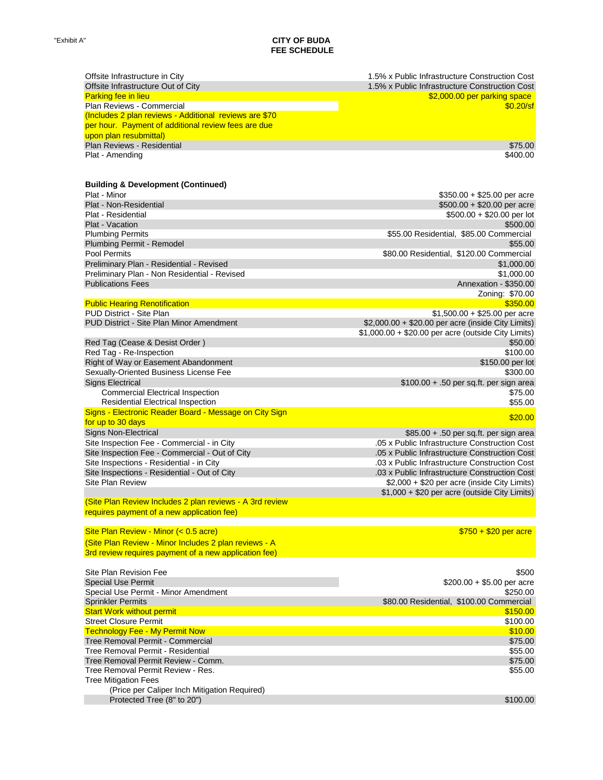| Offsite Infrastructure in City                                                | 1.5% x Public Infrastructure Construction Cost      |
|-------------------------------------------------------------------------------|-----------------------------------------------------|
| Offsite Infrastructure Out of City                                            | 1.5% x Public Infrastructure Construction Cost      |
| <b>Parking fee in lieu</b>                                                    | \$2,000.00 per parking space                        |
| Plan Reviews - Commercial                                                     | \$0.20/sf                                           |
| (Includes 2 plan reviews - Additional reviews are \$70                        |                                                     |
| per hour. Payment of additional review fees are due<br>upon plan resubmittal) |                                                     |
| Plan Reviews - Residential                                                    | \$75.00                                             |
| Plat - Amending                                                               | \$400.00                                            |
|                                                                               |                                                     |
| <b>Building &amp; Development (Continued)</b>                                 |                                                     |
| Plat - Minor                                                                  | $$350.00 + $25.00$ per acre                         |
| Plat - Non-Residential                                                        | $$500.00 + $20.00$ per acre                         |
| Plat - Residential                                                            | $$500.00 + $20.00$ per lot                          |
| Plat - Vacation                                                               | \$500.00                                            |
| <b>Plumbing Permits</b>                                                       | \$55.00 Residential, \$85.00 Commercial             |
| Plumbing Permit - Remodel                                                     | \$55.00                                             |
| Pool Permits                                                                  | \$80.00 Residential, \$120.00 Commercial            |
| Preliminary Plan - Residential - Revised                                      | \$1,000.00                                          |
| Preliminary Plan - Non Residential - Revised                                  | \$1,000.00                                          |
| <b>Publications Fees</b>                                                      | Annexation - \$350.00                               |
|                                                                               | Zoning: \$70.00                                     |
| <b>Public Hearing Renotification</b>                                          | \$350.00                                            |
| PUD District - Site Plan                                                      | $$1,500.00 + $25.00$ per acre                       |
| PUD District - Site Plan Minor Amendment                                      | \$2,000.00 + \$20.00 per acre (inside City Limits)  |
|                                                                               | \$1,000.00 + \$20.00 per acre (outside City Limits) |
| Red Tag (Cease & Desist Order)                                                | \$50.00                                             |
| Red Tag - Re-Inspection                                                       | \$100.00                                            |
| Right of Way or Easement Abandonment                                          | \$150.00 per lot                                    |
| Sexually-Oriented Business License Fee                                        | \$300.00                                            |
| <b>Signs Electrical</b>                                                       | $$100.00 + .50$ per sq.ft. per sign area            |
| <b>Commercial Electrical Inspection</b>                                       | \$75.00                                             |
| <b>Residential Electrical Inspection</b>                                      | \$55.00                                             |
| Signs - Electronic Reader Board - Message on City Sign                        | \$20.00                                             |
| for up to 30 days                                                             |                                                     |
| Signs Non-Electrical                                                          | \$85.00 + .50 per sq.ft. per sign area              |
| Site Inspection Fee - Commercial - in City                                    | .05 x Public Infrastructure Construction Cost       |
| Site Inspection Fee - Commercial - Out of City                                | .05 x Public Infrastructure Construction Cost       |
| Site Inspections - Residential - in City                                      | .03 x Public Infrastructure Construction Cost       |
| Site Inspections - Residential - Out of City                                  | .03 x Public Infrastructure Construction Cost       |
| <b>Site Plan Review</b>                                                       | \$2,000 + \$20 per acre (inside City Limits)        |
| (Site Plan Review Includes 2 plan reviews - A 3rd review                      | \$1,000 + \$20 per acre (outside City Limits)       |
|                                                                               |                                                     |
| requires payment of a new application fee)                                    |                                                     |
| Site Plan Review - Minor (< 0.5 acre)                                         | $$750 + $20$ per acre                               |
| (Site Plan Review - Minor Includes 2 plan reviews - A                         |                                                     |
| 3rd review requires payment of a new application fee)                         |                                                     |
| Site Plan Revision Fee                                                        | \$500                                               |
| <b>Special Use Permit</b>                                                     | $$200.00 + $5.00$ per acre                          |
| Special Use Permit - Minor Amendment                                          | \$250.00                                            |
| <b>Sprinkler Permits</b>                                                      | \$80.00 Residential, \$100.00 Commercial            |
| <b>Start Work without permit</b>                                              | \$150.00                                            |
| <b>Street Closure Permit</b>                                                  | \$100.00                                            |
| <b>Technology Fee - My Permit Now</b>                                         | \$10.00                                             |
| Tree Removal Permit - Commercial                                              | \$75.00                                             |
|                                                                               |                                                     |

| \$500                                    |
|------------------------------------------|
| $$200.00 + $5.00$ per acre               |
| \$250.00                                 |
| \$80.00 Residential, \$100.00 Commercial |
| \$150.00                                 |
| \$100.00                                 |
| \$10.00                                  |
| \$75.00                                  |
| \$55.00                                  |
| \$75.00                                  |
| \$55.00                                  |
|                                          |
|                                          |
| \$100.00                                 |
|                                          |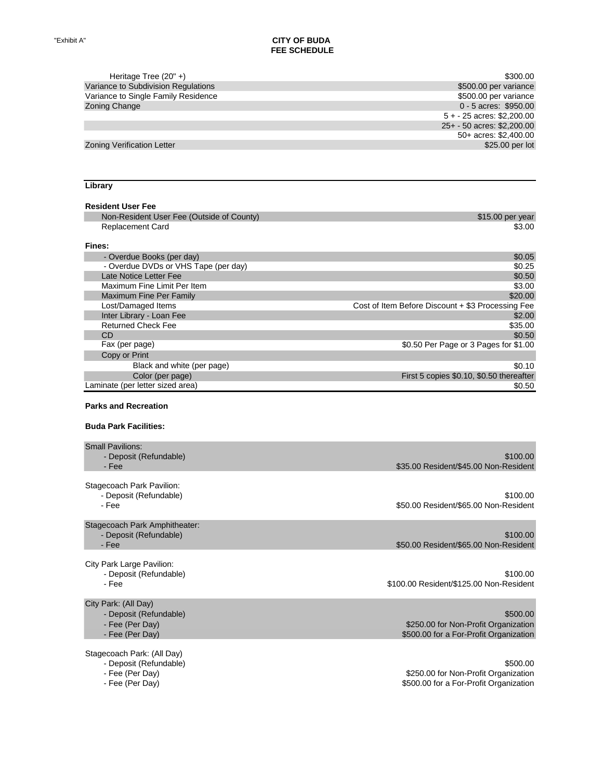| Heritage Tree $(20" +)$<br>Variance to Subdivision Regulations<br>Variance to Single Family Residence<br><b>Zoning Change</b><br><b>Zoning Verification Letter</b> | \$300.00<br>\$500.00 per variance<br>\$500.00 per variance<br>0 - 5 acres: \$950.00<br>$5 + - 25$ acres: \$2,200.00<br>25+ - 50 acres: \$2,200.00<br>50+ acres: \$2,400.00<br>\$25.00 per lot |
|--------------------------------------------------------------------------------------------------------------------------------------------------------------------|-----------------------------------------------------------------------------------------------------------------------------------------------------------------------------------------------|
|                                                                                                                                                                    |                                                                                                                                                                                               |
| Library                                                                                                                                                            |                                                                                                                                                                                               |
| <b>Resident User Fee</b>                                                                                                                                           |                                                                                                                                                                                               |
| Non-Resident User Fee (Outside of County)                                                                                                                          | \$15.00 per year                                                                                                                                                                              |
| Replacement Card                                                                                                                                                   | \$3.00                                                                                                                                                                                        |
|                                                                                                                                                                    |                                                                                                                                                                                               |
| Fines:                                                                                                                                                             |                                                                                                                                                                                               |
| - Overdue Books (per day)                                                                                                                                          | \$0.05                                                                                                                                                                                        |
| - Overdue DVDs or VHS Tape (per day)                                                                                                                               | \$0.25                                                                                                                                                                                        |
| Late Notice Letter Fee                                                                                                                                             | \$0.50                                                                                                                                                                                        |
| Maximum Fine Limit Per Item<br><b>Maximum Fine Per Family</b>                                                                                                      | \$3.00<br>\$20.00                                                                                                                                                                             |
| Lost/Damaged Items                                                                                                                                                 | Cost of Item Before Discount + \$3 Processing Fee                                                                                                                                             |
| Inter Library - Loan Fee                                                                                                                                           | \$2.00                                                                                                                                                                                        |
| <b>Returned Check Fee</b>                                                                                                                                          | \$35.00                                                                                                                                                                                       |
| <b>CD</b>                                                                                                                                                          | \$0.50                                                                                                                                                                                        |
| Fax (per page)                                                                                                                                                     | \$0.50 Per Page or 3 Pages for \$1.00                                                                                                                                                         |
| Copy or Print                                                                                                                                                      |                                                                                                                                                                                               |
| Black and white (per page)                                                                                                                                         | \$0.10                                                                                                                                                                                        |
| Color (per page)                                                                                                                                                   | First 5 copies \$0.10, \$0.50 thereafter                                                                                                                                                      |
| Laminate (per letter sized area)                                                                                                                                   | \$0.50                                                                                                                                                                                        |
| <b>Parks and Recreation</b><br><b>Buda Park Facilities:</b>                                                                                                        |                                                                                                                                                                                               |
|                                                                                                                                                                    |                                                                                                                                                                                               |
| <b>Small Pavilions:</b>                                                                                                                                            |                                                                                                                                                                                               |
| - Deposit (Refundable)                                                                                                                                             | \$100.00                                                                                                                                                                                      |
| - Fee                                                                                                                                                              | \$35.00 Resident/\$45.00 Non-Resident                                                                                                                                                         |
|                                                                                                                                                                    |                                                                                                                                                                                               |
| Stagecoach Park Pavilion:                                                                                                                                          |                                                                                                                                                                                               |
| - Deposit (Refundable)                                                                                                                                             | \$100.00                                                                                                                                                                                      |
| - Fee                                                                                                                                                              | \$50.00 Resident/\$65.00 Non-Resident                                                                                                                                                         |
| Stagecoach Park Amphitheater:                                                                                                                                      |                                                                                                                                                                                               |
| - Deposit (Refundable)                                                                                                                                             | \$100.00                                                                                                                                                                                      |
| - Fee                                                                                                                                                              | \$50.00 Resident/\$65.00 Non-Resident                                                                                                                                                         |
|                                                                                                                                                                    |                                                                                                                                                                                               |
| City Park Large Pavilion:                                                                                                                                          |                                                                                                                                                                                               |
| - Deposit (Refundable)                                                                                                                                             | \$100.00                                                                                                                                                                                      |
| - Fee                                                                                                                                                              | \$100.00 Resident/\$125.00 Non-Resident                                                                                                                                                       |

City Park: (All Day)

- 
- 

Stagecoach Park: (All Day)

- Deposit (Refundable) \$500.00<br>- Fee (Per Day) \$500.00<br>- Fee (Per Day) \$250.00 for Non-Profit Organization - Fee (Per Day) \$250.00 for Non-Profit Organization<br>- Fee (Per Day) \$350.00 for a For-Profit Organization<br>\$500.00 for a For-Profit Organization \$500.00 for a For-Profit Organization

- Deposit (Refundable) \$500.00<br>- Fee (Per Day) \$500.00 + Fee (Per Day) \$250.00 \$250.00 for Non-Profit Organization - Fee (Per Day) **\$250.00 for Non-Profit Organization**<br>- Fee (Per Day) **\$250.00 for A** S500.00 for A For-Profit Organization \$500.00 for a For-Profit Organization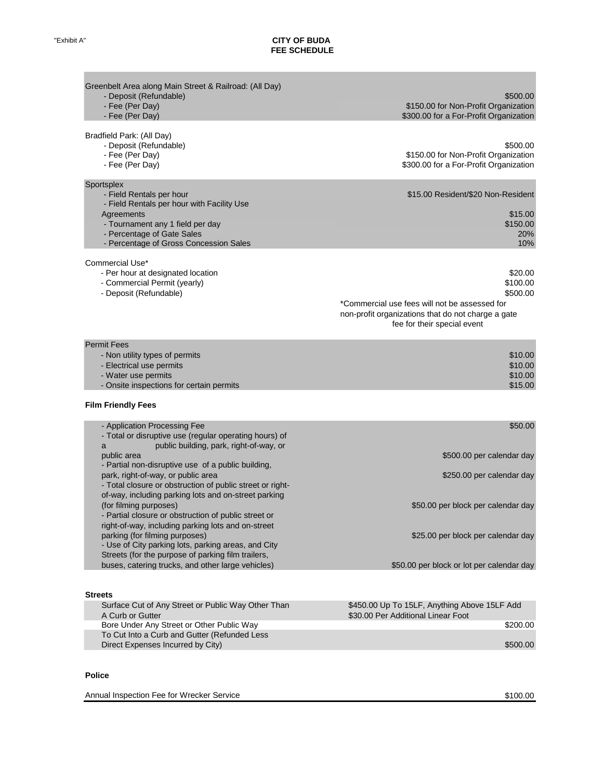| Greenbelt Area along Main Street & Railroad: (All Day)                         |                                                                                |
|--------------------------------------------------------------------------------|--------------------------------------------------------------------------------|
| - Deposit (Refundable)                                                         | \$500.00                                                                       |
| - Fee (Per Day)<br>- Fee (Per Day)                                             | \$150.00 for Non-Profit Organization<br>\$300.00 for a For-Profit Organization |
|                                                                                |                                                                                |
| Bradfield Park: (All Day)                                                      |                                                                                |
| - Deposit (Refundable)                                                         | \$500.00                                                                       |
| - Fee (Per Day)                                                                | \$150.00 for Non-Profit Organization                                           |
| - Fee (Per Day)                                                                | \$300.00 for a For-Profit Organization                                         |
| Sportsplex                                                                     |                                                                                |
| - Field Rentals per hour                                                       | \$15.00 Resident/\$20 Non-Resident                                             |
| - Field Rentals per hour with Facility Use                                     |                                                                                |
| Agreements                                                                     | \$15.00<br>\$150.00                                                            |
| - Tournament any 1 field per day<br>- Percentage of Gate Sales                 | 20%                                                                            |
| - Percentage of Gross Concession Sales                                         | 10%                                                                            |
|                                                                                |                                                                                |
| Commercial Use*<br>- Per hour at designated location                           | \$20.00                                                                        |
| - Commercial Permit (yearly)                                                   | \$100.00                                                                       |
| - Deposit (Refundable)                                                         | \$500.00                                                                       |
|                                                                                | *Commercial use fees will not be assessed for                                  |
|                                                                                | non-profit organizations that do not charge a gate                             |
|                                                                                | fee for their special event                                                    |
| <b>Permit Fees</b>                                                             |                                                                                |
| - Non utility types of permits                                                 | \$10.00                                                                        |
| - Electrical use permits                                                       | \$10.00                                                                        |
| - Water use permits                                                            | \$10.00                                                                        |
| - Onsite inspections for certain permits                                       | \$15.00                                                                        |
| <b>Film Friendly Fees</b>                                                      |                                                                                |
| - Application Processing Fee                                                   | \$50.00                                                                        |
| - Total or disruptive use (regular operating hours) of                         |                                                                                |
| public building, park, right-of-way, or<br>a                                   |                                                                                |
| public area<br>- Partial non-disruptive use of a public building,              | \$500.00 per calendar day                                                      |
| park, right-of-way, or public area                                             | \$250.00 per calendar day                                                      |
| - Total closure or obstruction of public street or right-                      |                                                                                |
| of-way, including parking lots and on-street parking                           |                                                                                |
| (for filming purposes)<br>- Partial closure or obstruction of public street or | \$50.00 per block per calendar day                                             |
| right-of-way, including parking lots and on-street                             |                                                                                |
| parking (for filming purposes)                                                 | \$25.00 per block per calendar day                                             |
| - Use of City parking lots, parking areas, and City                            |                                                                                |
| Streets (for the purpose of parking film trailers,                             |                                                                                |
| buses, catering trucks, and other large vehicles)                              | \$50.00 per block or lot per calendar day                                      |
|                                                                                |                                                                                |
| <b>Streets</b><br>Surface Cut of Any Street or Public Way Other Than           | \$450.00 Up To 15LF, Anything Above 15LF Add                                   |
| A Curb or Gutter                                                               | \$30.00 Per Additional Linear Foot                                             |
| Bore Under Any Street or Other Public Way                                      | \$200.00                                                                       |
| To Cut Into a Curb and Gutter (Refunded Less                                   |                                                                                |

Direct Expenses Incurred by City) \$500.00

#### **Police**

Annual Inspection Fee for Wrecker Service \$100.00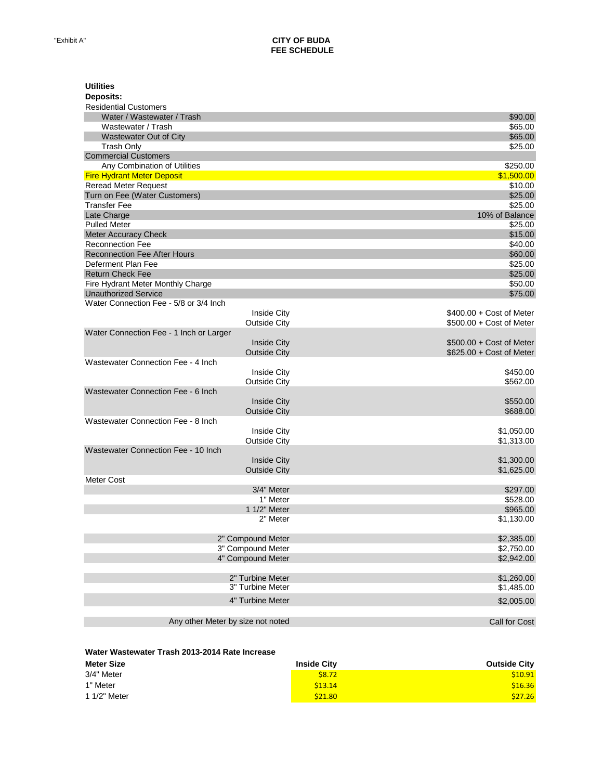| <b>Utilities</b>                                            |                          |
|-------------------------------------------------------------|--------------------------|
| <b>Deposits:</b>                                            |                          |
| <b>Residential Customers</b><br>Water / Wastewater / Trash  | \$90.00                  |
|                                                             |                          |
| Wastewater / Trash                                          | \$65.00                  |
| Wastewater Out of City                                      | \$65.00                  |
| <b>Trash Only</b>                                           | \$25.00                  |
| <b>Commercial Customers</b><br>Any Combination of Utilities | \$250.00                 |
| <b>Fire Hydrant Meter Deposit</b>                           | \$1,500.00               |
| <b>Reread Meter Request</b>                                 | \$10.00                  |
| Turn on Fee (Water Customers)                               | \$25.00                  |
| <b>Transfer Fee</b>                                         | \$25.00                  |
| Late Charge                                                 | 10% of Balance           |
| <b>Pulled Meter</b>                                         | \$25.00                  |
| <b>Meter Accuracy Check</b>                                 | \$15.00                  |
| <b>Reconnection Fee</b>                                     | \$40.00                  |
| <b>Reconnection Fee After Hours</b>                         | \$60.00                  |
| Deferment Plan Fee                                          | \$25.00                  |
| <b>Return Check Fee</b>                                     | \$25.00                  |
| Fire Hydrant Meter Monthly Charge                           | \$50.00                  |
| <b>Unauthorized Service</b>                                 | \$75.00                  |
| Water Connection Fee - 5/8 or 3/4 Inch                      |                          |
| <b>Inside City</b>                                          | \$400.00 + Cost of Meter |
| <b>Outside City</b>                                         | \$500.00 + Cost of Meter |
| Water Connection Fee - 1 Inch or Larger                     |                          |
| <b>Inside City</b>                                          | \$500.00 + Cost of Meter |
| <b>Outside City</b>                                         | \$625.00 + Cost of Meter |
| Wastewater Connection Fee - 4 Inch                          |                          |
| <b>Inside City</b>                                          | \$450.00                 |
| <b>Outside City</b>                                         | \$562.00                 |
| Wastewater Connection Fee - 6 Inch                          |                          |
| <b>Inside City</b>                                          | \$550.00                 |
| <b>Outside City</b>                                         | \$688.00                 |
| Wastewater Connection Fee - 8 Inch                          |                          |
| <b>Inside City</b>                                          | \$1,050.00               |
| <b>Outside City</b>                                         | \$1,313.00               |
| Wastewater Connection Fee - 10 Inch                         |                          |
| <b>Inside City</b>                                          | \$1,300.00               |
| <b>Outside City</b>                                         | \$1,625.00               |
| Meter Cost                                                  |                          |
| 3/4" Meter                                                  | \$297.00                 |
| 1" Meter                                                    | \$528.00                 |
| 1 1/2" Meter                                                | \$965.00                 |
| 2" Meter                                                    | \$1,130.00               |
|                                                             |                          |
| 2" Compound Meter                                           | \$2,385.00               |
| 3" Compound Meter                                           | \$2,750.00               |
| 4" Compound Meter                                           | \$2,942.00               |
|                                                             |                          |
| 2" Turbine Meter                                            | \$1,260.00               |
| 3" Turbine Meter                                            | \$1,485.00               |
| 4" Turbine Meter                                            | \$2,005.00               |
|                                                             |                          |
| Any other Meter by size not noted                           | Call for Cost            |
|                                                             |                          |

#### **Water Wastewater Trash 2013-2014 Rate Increase**

| <b>Meter Size</b> | <b>Inside City</b> | <b>Outside City</b> |
|-------------------|--------------------|---------------------|
| 3/4" Meter        | \$8.72             | \$10.91             |
| 1" Meter          | \$13.14            | \$16.36             |
| 1 1/2" Meter      | \$21.80            | \$27.26             |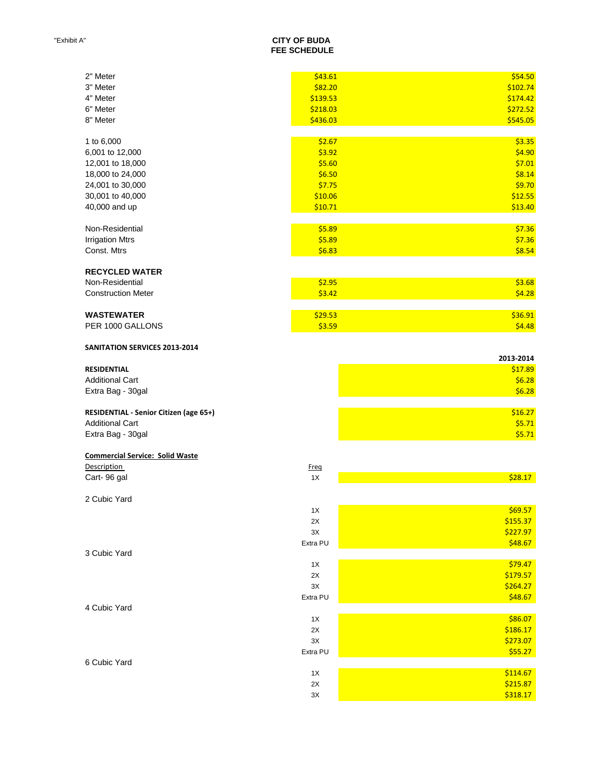| 2" Meter                                                         | \$43.61       | \$54.50   |
|------------------------------------------------------------------|---------------|-----------|
| 3" Meter                                                         | \$82.20       | \$102.74  |
| 4" Meter                                                         | \$139.53      | \$174.42  |
| 6" Meter                                                         | \$218.03      | \$272.52  |
| 8" Meter                                                         | \$436.03      | \$545.05  |
|                                                                  |               |           |
| 1 to 6,000                                                       | \$2.67        | \$3.35    |
| 6,001 to 12,000                                                  | \$3.92        | \$4.90    |
| 12,001 to 18,000                                                 | \$5.60        | \$7.01    |
| 18,000 to 24,000                                                 | \$6.50        | \$8.14    |
| 24,001 to 30,000                                                 | \$7.75        | \$9.70    |
| 30,001 to 40,000                                                 | \$10.06       | \$12.55   |
| 40,000 and up                                                    | \$10.71       | \$13.40   |
|                                                                  |               |           |
| Non-Residential                                                  | \$5.89        | \$7.36    |
| <b>Irrigation Mtrs</b>                                           | \$5.89        | \$7.36    |
| Const. Mtrs                                                      | \$6.83        | \$8.54    |
|                                                                  |               |           |
| <b>RECYCLED WATER</b>                                            |               |           |
| Non-Residential                                                  | \$2.95        | \$3.68    |
| <b>Construction Meter</b>                                        | \$3.42        | \$4.28    |
|                                                                  |               |           |
| <b>WASTEWATER</b>                                                | \$29.53       | \$36.91   |
| PER 1000 GALLONS                                                 | \$3.59        | \$4.48    |
| SANITATION SERVICES 2013-2014                                    |               |           |
|                                                                  |               | 2013-2014 |
| <b>RESIDENTIAL</b>                                               |               | \$17.89   |
| <b>Additional Cart</b>                                           |               | \$6.28    |
| Extra Bag - 30gal                                                |               | \$6.28    |
|                                                                  |               | \$16.27   |
| RESIDENTIAL - Senior Citizen (age 65+)<br><b>Additional Cart</b> |               |           |
|                                                                  |               | \$5.71    |
| Extra Bag - 30gal                                                |               | \$5.71    |
| <b>Commercial Service: Solid Waste</b>                           |               |           |
| Description                                                      | Freq          |           |
| Cart-96 gal                                                      | 1X            | \$28.17   |
|                                                                  |               |           |
| 2 Cubic Yard                                                     |               |           |
|                                                                  | 1X            | \$69.57   |
|                                                                  | 2X            | \$155.37  |
|                                                                  | $3\mathrm{X}$ | \$227.97  |
|                                                                  | Extra PU      | \$48.67   |
| 3 Cubic Yard                                                     |               |           |
|                                                                  | 1X            | \$79.47   |
|                                                                  | 2X            | \$179.57  |
|                                                                  | 3X            | \$264.27  |
|                                                                  | Extra PU      | \$48.67   |
| 4 Cubic Yard                                                     |               |           |
|                                                                  | 1X            | \$86.07   |
|                                                                  | 2X            | \$186.17  |
|                                                                  | 3X            | \$273.07  |
|                                                                  | Extra PU      | \$55.27   |
| 6 Cubic Yard                                                     |               |           |
|                                                                  | 1X            | \$114.67  |
|                                                                  | 2X            | \$215.87  |

 $3x$   $5318.17$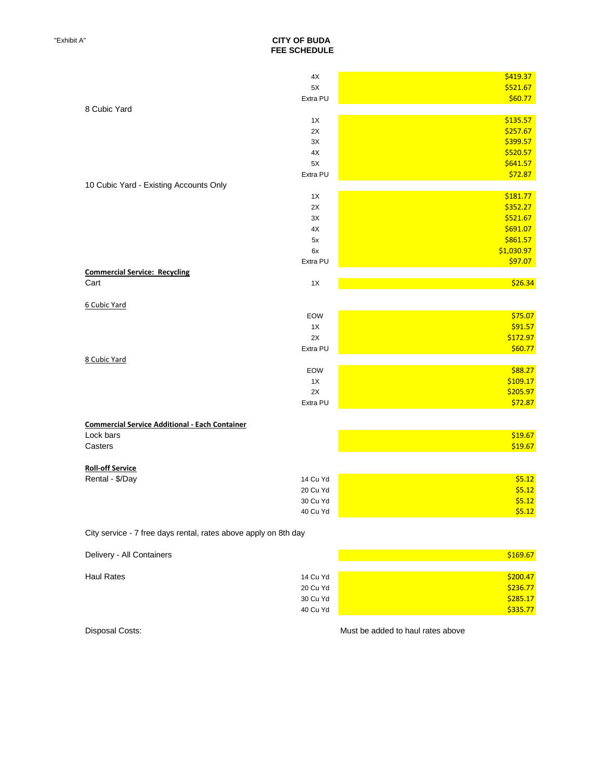|                                                                 | 4X       | \$419.37   |
|-----------------------------------------------------------------|----------|------------|
|                                                                 | 5X       | \$521.67   |
|                                                                 | Extra PU | \$60.77    |
| 8 Cubic Yard                                                    |          |            |
|                                                                 | 1X       | \$135.57   |
|                                                                 | 2X       | \$257.67   |
|                                                                 | 3X       | \$399.57   |
|                                                                 | 4X       | \$520.57   |
|                                                                 | 5X       | \$641.57   |
|                                                                 | Extra PU | \$72.87    |
| 10 Cubic Yard - Existing Accounts Only                          |          |            |
|                                                                 | 1X       | \$181.77   |
|                                                                 | 2X       | \$352.27   |
|                                                                 | 3X       | \$521.67   |
|                                                                 | 4X       | \$691.07   |
|                                                                 | 5x       | \$861.57   |
|                                                                 | 6x       | \$1,030.97 |
|                                                                 | Extra PU | \$97.07    |
| <b>Commercial Service: Recycling</b>                            |          |            |
| Cart                                                            | 1X       | \$26.34    |
|                                                                 |          |            |
| 6 Cubic Yard                                                    |          |            |
|                                                                 | EOW      | \$75.07    |
|                                                                 | 1X       | \$91.57    |
|                                                                 | 2X       | \$172.97   |
|                                                                 | Extra PU | \$60.77    |
| 8 Cubic Yard                                                    |          |            |
|                                                                 | EOW      | \$88.27    |
|                                                                 | 1X       | \$109.17   |
|                                                                 | 2X       | \$205.97   |
|                                                                 | Extra PU | \$72.87    |
|                                                                 |          |            |
| <b>Commercial Service Additional - Each Container</b>           |          |            |
| Lock bars                                                       |          | \$19.67    |
| Casters                                                         |          | \$19.67    |
|                                                                 |          |            |
| <b>Roll-off Service</b>                                         |          |            |
| Rental - \$/Day                                                 | 14 Cu Yd | \$5.12     |
|                                                                 | 20 Cu Yd | \$5.12     |
|                                                                 | 30 Cu Yd | \$5.12     |
|                                                                 | 40 Cu Yd | \$5.12     |
|                                                                 |          |            |
| City service - 7 free days rental, rates above apply on 8th day |          |            |
|                                                                 |          |            |
| Delivery - All Containers                                       |          | \$169.67   |
|                                                                 |          |            |

| 14 Cu Yd | \$200.47 |
|----------|----------|
| 20 Cu Yd | \$236.77 |
| 30 Cu Yd | \$285.17 |
| 40 Cu Yd | \$335.77 |
|          |          |

Disposal Costs: **Must be added to haul rates above** Must be added to haul rates above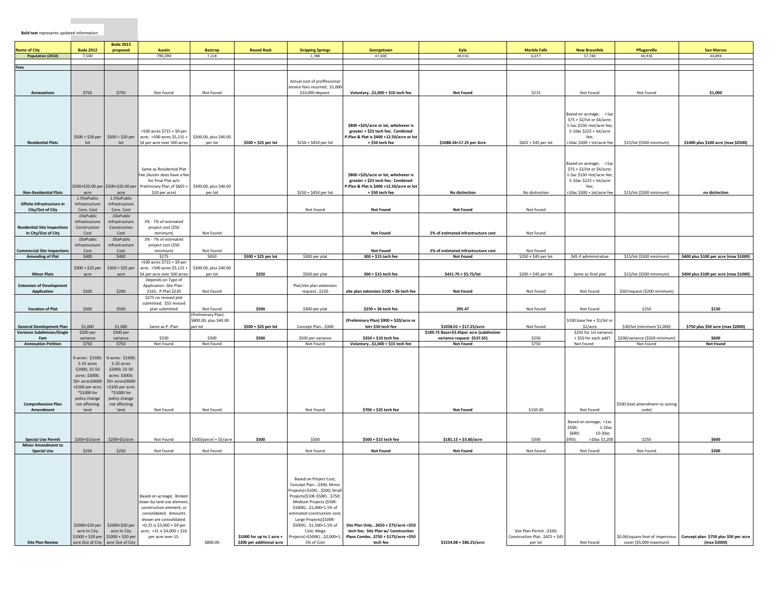$\mathcal{L}^{\text{max}}$ 

|                                                      |                                                                                                                                                                   | <b>Buda 2013</b>                                                                                                                                                  |                                                                                                                                                                                                                        |                                   |                                                        |                                                                                                                                                                                                                                                                                                                       |                                                                                                                                            |                                                                          |                                                                      |                                                                                                                                                      |                                          |                                                                                           |
|------------------------------------------------------|-------------------------------------------------------------------------------------------------------------------------------------------------------------------|-------------------------------------------------------------------------------------------------------------------------------------------------------------------|------------------------------------------------------------------------------------------------------------------------------------------------------------------------------------------------------------------------|-----------------------------------|--------------------------------------------------------|-----------------------------------------------------------------------------------------------------------------------------------------------------------------------------------------------------------------------------------------------------------------------------------------------------------------------|--------------------------------------------------------------------------------------------------------------------------------------------|--------------------------------------------------------------------------|----------------------------------------------------------------------|------------------------------------------------------------------------------------------------------------------------------------------------------|------------------------------------------|-------------------------------------------------------------------------------------------|
| <b>Name of City</b><br>Population (2010)             | <b>Buda 2012</b><br>7,500                                                                                                                                         | proposed                                                                                                                                                          | <b>Austin</b><br>790,390                                                                                                                                                                                               | <b>Bastrop</b><br>7,218           | <b>Round Rock</b>                                      | <b>Dripping Springs</b><br>1,788                                                                                                                                                                                                                                                                                      | Georgetown<br>47,400                                                                                                                       | Kyle<br>28,016                                                           | <b>Marble Falls</b><br>6,077                                         | <b>New Braunfels</b><br>57,740                                                                                                                       | Pflugerville<br>46,936                   | <b>San Marcos</b><br>44,894                                                               |
|                                                      |                                                                                                                                                                   |                                                                                                                                                                   |                                                                                                                                                                                                                        |                                   |                                                        |                                                                                                                                                                                                                                                                                                                       |                                                                                                                                            |                                                                          |                                                                      |                                                                                                                                                      |                                          |                                                                                           |
| Fees                                                 |                                                                                                                                                                   |                                                                                                                                                                   |                                                                                                                                                                                                                        |                                   |                                                        |                                                                                                                                                                                                                                                                                                                       |                                                                                                                                            |                                                                          |                                                                      |                                                                                                                                                      |                                          |                                                                                           |
| Annexations                                          | \$750                                                                                                                                                             | \$750                                                                                                                                                             | Not Found                                                                                                                                                                                                              | Not Found                         |                                                        | Actual cost of proffessional<br>service fees incurred; \$1,000<br>\$10,000 deposit.                                                                                                                                                                                                                                   | Voluntary\$1,000 + \$10 tech fee                                                                                                           | <b>Not Found</b>                                                         | \$215                                                                | Not Found                                                                                                                                            | Not Found                                | \$1,000                                                                                   |
|                                                      |                                                                                                                                                                   |                                                                                                                                                                   |                                                                                                                                                                                                                        |                                   |                                                        |                                                                                                                                                                                                                                                                                                                       |                                                                                                                                            |                                                                          |                                                                      |                                                                                                                                                      |                                          |                                                                                           |
| <b>Residential Plats</b>                             | $$500 + $20$ per<br>lot                                                                                                                                           | \$500 + \$20 per<br>lot                                                                                                                                           | <500 acres \$715 + \$9 per<br>acre; >500 acres \$5,115 +<br>\$4 per acre over 500 acres                                                                                                                                | \$300.00, plus \$40.00<br>per lot | \$500 + \$25 per lot                                   | \$250 + \$450 per lot                                                                                                                                                                                                                                                                                                 | \$800 +\$25/acre or lot, whichever is<br>greater + \$25 tech fee; Combined<br>P.Plan & Plat is \$400 +12.50/acre or lot<br>+ \$50 tech fee | \$1088.34+17.25 per Acre                                                 | $$425 + $45$ per lot                                                 | Based on acreage: <1ac<br>\$75 + \$2/lot or \$4/acre;<br>1-5ac \$150 +lot/acre fee;<br>5-10ac \$225 + lot/acre<br>fee;<br>>10ac \$300 + lot/acre fee | \$15/lot (\$500 minimum)                 | \$1000 plus \$100 acre (max \$2500)                                                       |
| <b>Non-Residential Plats</b>                         | \$500+\$20.00 per<br>acre                                                                                                                                         | \$500+\$20.00 per<br>acre                                                                                                                                         | Same as Residential Plat<br>Fee (Austin does have a fee<br>for Final Plat w/o<br>Preliminary Plan of \$605 + \$300.00, plus \$40.00<br>\$10 per acre)                                                                  | per lot                           |                                                        | \$250 + \$450 per lot                                                                                                                                                                                                                                                                                                 | \$800 +\$25/acre or lot, whichever is<br>greater + \$25 tech fee; Combined<br>P.Plan & Plat is \$400 +12.50/acre or lot<br>+ \$50 tech fee | No distinction                                                           | No distinction                                                       | Based on acreage; <1ac<br>\$75 + \$2/lot or \$4/acre;<br>1-5ac \$150 +lot/acre fee;<br>5-10ac \$225 + lot/acre<br>fee:<br>>10ac \$300 + lot/acre fee | \$15/lot (\$500 minimum)                 | no distinction                                                                            |
|                                                      | 1.5%xPublic                                                                                                                                                       | 1.5%xPublic                                                                                                                                                       |                                                                                                                                                                                                                        |                                   |                                                        |                                                                                                                                                                                                                                                                                                                       |                                                                                                                                            |                                                                          |                                                                      |                                                                                                                                                      |                                          |                                                                                           |
| Offsite Infrastructure in                            | Infrastructure                                                                                                                                                    | Infrastructure                                                                                                                                                    |                                                                                                                                                                                                                        |                                   |                                                        |                                                                                                                                                                                                                                                                                                                       |                                                                                                                                            |                                                                          |                                                                      |                                                                                                                                                      |                                          |                                                                                           |
| City/Out of City                                     | Cons. Cost<br>.03xPublic                                                                                                                                          | Cons. Cost<br>.03xPublic                                                                                                                                          |                                                                                                                                                                                                                        |                                   |                                                        | Not Found                                                                                                                                                                                                                                                                                                             | <b>Not Found</b>                                                                                                                           | <b>Not Found</b>                                                         | Not Found                                                            |                                                                                                                                                      |                                          |                                                                                           |
|                                                      | Infrastructure                                                                                                                                                    | Infrastructure                                                                                                                                                    | 3% - 7% of estimated                                                                                                                                                                                                   |                                   |                                                        |                                                                                                                                                                                                                                                                                                                       |                                                                                                                                            |                                                                          |                                                                      |                                                                                                                                                      |                                          |                                                                                           |
| <b>Residential Site Inspection</b>                   | Construction                                                                                                                                                      | Construction                                                                                                                                                      | project cost (\$50                                                                                                                                                                                                     |                                   |                                                        |                                                                                                                                                                                                                                                                                                                       |                                                                                                                                            |                                                                          |                                                                      |                                                                                                                                                      |                                          |                                                                                           |
| In City/Out of City                                  | Cost<br>.05xPublic                                                                                                                                                | Cost<br>.05xPublic                                                                                                                                                | minimum)<br>3% - 7% of estimated                                                                                                                                                                                       | Not Found                         |                                                        |                                                                                                                                                                                                                                                                                                                       | <b>Not Found</b>                                                                                                                           | 2% of estimated infrastructure cost                                      | Not Found                                                            |                                                                                                                                                      |                                          |                                                                                           |
|                                                      | Infrastructure                                                                                                                                                    | Infrastructure                                                                                                                                                    | project cost (\$50                                                                                                                                                                                                     |                                   |                                                        |                                                                                                                                                                                                                                                                                                                       |                                                                                                                                            |                                                                          |                                                                      |                                                                                                                                                      |                                          |                                                                                           |
| <b>Commercial Site Inspection</b>                    | Cost                                                                                                                                                              | Cost                                                                                                                                                              | minimum)                                                                                                                                                                                                               | Not Found                         |                                                        |                                                                                                                                                                                                                                                                                                                       | <b>Not Found</b>                                                                                                                           | 2% of estimated infrastructure cost                                      | Not Found                                                            |                                                                                                                                                      |                                          |                                                                                           |
| <b>Amending of Plat</b>                              | \$400                                                                                                                                                             | \$400                                                                                                                                                             | \$275                                                                                                                                                                                                                  | \$450                             | \$500 + \$25 per lot                                   | \$300 per plat                                                                                                                                                                                                                                                                                                        | 300 + \$15 tech fee                                                                                                                        | <b>Not Found</b>                                                         | \$250 + \$45 per lot                                                 | \$45 if administrative                                                                                                                               | \$15/lot (\$500 minimum)                 | \$400 plus \$100 per acre (max \$1000)                                                    |
|                                                      | \$300 + \$25 per                                                                                                                                                  | \$300 + \$25 per                                                                                                                                                  | <500 acres \$715 + \$9 per<br>acre; >500 acres \$5,115 +                                                                                                                                                               | \$300.00, plus \$40.00            |                                                        |                                                                                                                                                                                                                                                                                                                       |                                                                                                                                            |                                                                          |                                                                      |                                                                                                                                                      |                                          |                                                                                           |
| <b>Minor Plats</b>                                   | acre                                                                                                                                                              | acre                                                                                                                                                              | \$4 per acre over 500 acres                                                                                                                                                                                            | per lot                           | \$250                                                  | \$500 per plat                                                                                                                                                                                                                                                                                                        | 300 + \$15 tech fee                                                                                                                        | \$431.70 + \$5.75/lot                                                    | \$200 + \$45 per lot                                                 | Same as final plat                                                                                                                                   | \$15/lot (\$500 minimum)                 | \$400 plus \$100 per acre (max \$1000)                                                    |
|                                                      |                                                                                                                                                                   |                                                                                                                                                                   | Depends on Type of                                                                                                                                                                                                     |                                   |                                                        |                                                                                                                                                                                                                                                                                                                       |                                                                                                                                            |                                                                          |                                                                      |                                                                                                                                                      |                                          |                                                                                           |
| <b>Extension of Developmen</b><br><b>Application</b> | \$200                                                                                                                                                             | \$200                                                                                                                                                             | Application: Site Plan -<br>\$165; P.Plan \$220                                                                                                                                                                        | Not Found                         |                                                        | Plat/site plan extension<br>request\$150                                                                                                                                                                                                                                                                              | site plan extension \$100 + \$6 tech fee                                                                                                   | <b>Not Found</b>                                                         | Not Found                                                            | Not Found                                                                                                                                            | \$50/request (\$200 minimum)             |                                                                                           |
|                                                      |                                                                                                                                                                   |                                                                                                                                                                   | \$275 no revised plat                                                                                                                                                                                                  |                                   |                                                        |                                                                                                                                                                                                                                                                                                                       |                                                                                                                                            |                                                                          |                                                                      |                                                                                                                                                      |                                          |                                                                                           |
|                                                      |                                                                                                                                                                   |                                                                                                                                                                   | submitted; \$55 revised                                                                                                                                                                                                |                                   |                                                        |                                                                                                                                                                                                                                                                                                                       |                                                                                                                                            |                                                                          |                                                                      |                                                                                                                                                      |                                          |                                                                                           |
| <b>Vacation of Plat</b>                              | \$500                                                                                                                                                             | \$500                                                                                                                                                             | plan submitted                                                                                                                                                                                                         | Not Found<br>(Preliminary Plan)   | \$500                                                  | \$300 per plat                                                                                                                                                                                                                                                                                                        | \$250 + \$6 tech fee                                                                                                                       | 295.47                                                                   | Not Found                                                            | Not Found                                                                                                                                            | \$250                                    | \$150                                                                                     |
|                                                      |                                                                                                                                                                   |                                                                                                                                                                   |                                                                                                                                                                                                                        | \$800.00, plus \$40.00            |                                                        |                                                                                                                                                                                                                                                                                                                       | (Preliminary Plan) \$900 + \$20/acre or                                                                                                    |                                                                          |                                                                      | \$100 base fee + \$1/lot or                                                                                                                          |                                          |                                                                                           |
| <b>General Development Plan</b>                      | \$1,000                                                                                                                                                           | \$1,000                                                                                                                                                           | Same as P. Plan                                                                                                                                                                                                        | er lot                            | \$500 + \$25 per lot                                   | Concept Plan\$300                                                                                                                                                                                                                                                                                                     | lot+\$50 tech fee                                                                                                                          | $$1058.01 + $17.25/acre$                                                 | Not Found                                                            | \$2/acre                                                                                                                                             | \$30/lot (minimum \$1,000)               | \$750 plus \$50 acre (max \$2000)                                                         |
| <b>Variance Subdivision/Single</b><br>Fam            | \$500 per<br>variance                                                                                                                                             | \$500 per<br>variance                                                                                                                                             | \$330                                                                                                                                                                                                                  | \$300                             | \$500                                                  | \$500 per variance                                                                                                                                                                                                                                                                                                    | \$350 + \$10 tech fee                                                                                                                      | \$189.75 Base+\$3.45per acre (subdivision<br>variance request- \$537.65) | \$250                                                                | \$250 for 1st variance<br>+ \$50 for each add'l                                                                                                      | \$200/variance (\$500 minimum)           | \$600                                                                                     |
| <b>Annexation Petition</b>                           | \$750                                                                                                                                                             | \$750                                                                                                                                                             | Not Found                                                                                                                                                                                                              | Not Found                         |                                                        | Not Found                                                                                                                                                                                                                                                                                                             | Voluntary\$1,000 + \$15 tech fee                                                                                                           | <b>Not Found</b>                                                         | \$750                                                                | Not Found                                                                                                                                            | Not Found                                | <b>Not Found</b>                                                                          |
| <b>Comprehensive Plan</b><br>Amendmen                | 0-acres: \$1500;<br>5-25 acres<br>\$2000; 25-50<br>acres: \$3000;<br>50+ acres\$4000<br>+\$100 per acre;<br>*\$1000 for<br>policy change<br>not affecting<br>land | 0-acres: \$1500;<br>5-25 acres<br>\$2000; 25-50<br>acres: \$3000;<br>50+ acres\$4000<br>+\$100 per acre;<br>*\$1000 for<br>policy change<br>not affecting<br>land | Not Found                                                                                                                                                                                                              | Not Found                         |                                                        | Not Found                                                                                                                                                                                                                                                                                                             | \$700 + \$25 tech fee                                                                                                                      | Not Found                                                                | \$150.00                                                             | Not Found                                                                                                                                            | \$500 (text amendment to zoning<br>code) |                                                                                           |
| <b>Special Use Permit</b>                            | \$200+\$5/acre                                                                                                                                                    | \$200+\$5/acre                                                                                                                                                    | Not Found                                                                                                                                                                                                              | \$300/parcel + \$5/acre           | \$500                                                  | \$500                                                                                                                                                                                                                                                                                                                 | \$500 + \$15 tech fee                                                                                                                      | $$181.15 + $3.60/$ acre                                                  | \$300                                                                | Based on acreage; <1ac<br>\$500;<br>$1-10ac$<br>\$680;<br>10-20ac<br>\$950;<br>>20ac \$1,200                                                         | \$250                                    | \$600                                                                                     |
| <b>Minor Amendment to</b>                            |                                                                                                                                                                   |                                                                                                                                                                   |                                                                                                                                                                                                                        |                                   |                                                        |                                                                                                                                                                                                                                                                                                                       |                                                                                                                                            |                                                                          |                                                                      |                                                                                                                                                      |                                          |                                                                                           |
| <b>Special Use</b>                                   | \$250                                                                                                                                                             | \$250                                                                                                                                                             | Not Found                                                                                                                                                                                                              | Not Found                         |                                                        | Not Found                                                                                                                                                                                                                                                                                                             | <b>Not Found</b>                                                                                                                           | <b>Not Found</b>                                                         | Not Found                                                            | Not Found                                                                                                                                            | Not Found                                | \$300                                                                                     |
| <b>Site Plan Review</b>                              | \$2000+\$20 per<br>acre In City<br>\$1000 + \$20 per \$1000 + \$20 per<br>acre Out of City acre Out of City                                                       | \$2000+\$20 per<br>acre In City                                                                                                                                   | Based on acreage; Broken<br>down by land use element<br>construction element, or<br>consolidated. Amounts<br>shown are consolidated.<br><0.25 is \$3,000 + \$9 per<br>acre: >15 is \$4,000 + \$16<br>per acre over 15. | \$800.00                          | \$1000 for up to 1 acre +<br>\$200 per additional acre | Based on Project Cost;<br>Concept Plan\$300; Minor<br>Projects(<\$10K)\$500; Small<br>Projects(\$10K-\$50K)\$750;<br>Medium Projects (\$50K-<br>\$100K)\$1,000+1.5% of<br>estimated construction cost;<br>Large Projects(\$100K-<br>\$500K)\$1,500+1.5% of<br>Cost: Mega<br>Projects(>\$500K)\$2,000+1.<br>5% of Cost | Site Plan Only\$650 + \$75/acre +\$50<br>tech fee; Site Plan w/ Construction<br>Plans Combo\$750 + \$175/acre +\$50<br>tech fee            | $$1554.08 + $86.25/acre$                                                 | Site Plan Permit  \$100:<br>Construction Plat\$425 + \$45<br>per lot | Not Found                                                                                                                                            | cover (\$5,000 maximum)                  | \$0.06/square foot of impervious   Concept plan- \$750 plus \$50 per acre<br>(max \$2000) |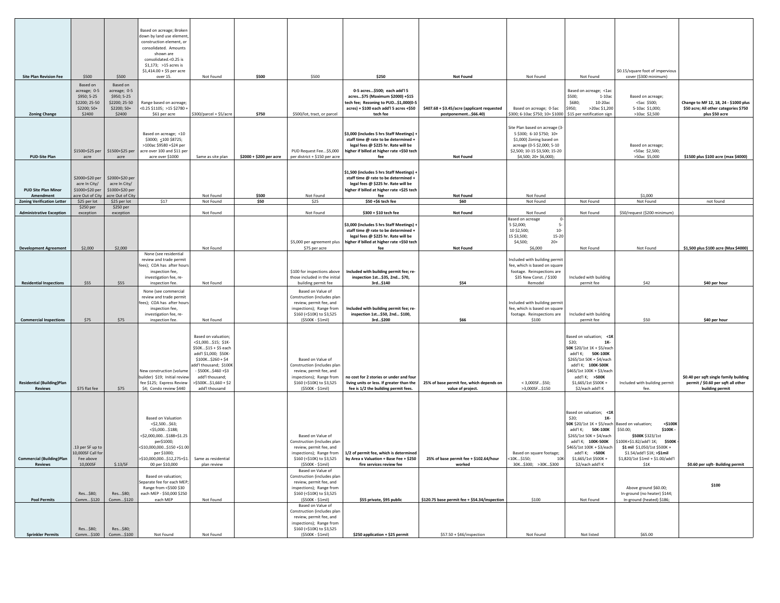|                                                     |                                                                                   |                                                                                   | Based on acreage; Broken                                                                                                                                                                                                      |                                                                                                                                                                                                                                |                         |                                                                                                                                                                                |                                                                                                                                                                               |                                                                                           |                                                                                                                                                                                 |                                                                                                                                                                                                                                            |                                                                                                                                                                                                                        |                                                                                                  |
|-----------------------------------------------------|-----------------------------------------------------------------------------------|-----------------------------------------------------------------------------------|-------------------------------------------------------------------------------------------------------------------------------------------------------------------------------------------------------------------------------|--------------------------------------------------------------------------------------------------------------------------------------------------------------------------------------------------------------------------------|-------------------------|--------------------------------------------------------------------------------------------------------------------------------------------------------------------------------|-------------------------------------------------------------------------------------------------------------------------------------------------------------------------------|-------------------------------------------------------------------------------------------|---------------------------------------------------------------------------------------------------------------------------------------------------------------------------------|--------------------------------------------------------------------------------------------------------------------------------------------------------------------------------------------------------------------------------------------|------------------------------------------------------------------------------------------------------------------------------------------------------------------------------------------------------------------------|--------------------------------------------------------------------------------------------------|
|                                                     |                                                                                   |                                                                                   | down by land use element,<br>construction element, or<br>consolidated. Amounts                                                                                                                                                |                                                                                                                                                                                                                                |                         |                                                                                                                                                                                |                                                                                                                                                                               |                                                                                           |                                                                                                                                                                                 |                                                                                                                                                                                                                                            |                                                                                                                                                                                                                        |                                                                                                  |
|                                                     |                                                                                   |                                                                                   | shown are<br>consolidated.<0.25 is                                                                                                                                                                                            |                                                                                                                                                                                                                                |                         |                                                                                                                                                                                |                                                                                                                                                                               |                                                                                           |                                                                                                                                                                                 |                                                                                                                                                                                                                                            |                                                                                                                                                                                                                        |                                                                                                  |
|                                                     |                                                                                   |                                                                                   | \$1,173; >15 acres is<br>$$1,414.00 + $5$ per acre                                                                                                                                                                            |                                                                                                                                                                                                                                |                         |                                                                                                                                                                                |                                                                                                                                                                               |                                                                                           |                                                                                                                                                                                 |                                                                                                                                                                                                                                            | \$0.15/square foot of impervious                                                                                                                                                                                       |                                                                                                  |
| <b>Site Plan Revision Fee</b>                       | \$500                                                                             | \$500                                                                             | over 15.                                                                                                                                                                                                                      | Not Found                                                                                                                                                                                                                      | \$500                   | \$500                                                                                                                                                                          | \$250                                                                                                                                                                         | <b>Not Found</b>                                                                          | Not Found                                                                                                                                                                       | Not Found                                                                                                                                                                                                                                  | cover (\$300 minimum)                                                                                                                                                                                                  |                                                                                                  |
| <b>Zoning Change</b>                                | Based on<br>acreage; 0-5<br>\$950; 5-25<br>\$2200; 25-50<br>\$2200; 50+<br>\$2400 | Based on<br>acreage; 0-5<br>\$950; 5-25<br>\$2200; 25-50<br>\$2200; 50+<br>\$2400 | Range based on acreage;<br><0.25 \$1105; >15 \$2780 +<br>\$61 per acre                                                                                                                                                        | \$300/parcel + \$5/acre                                                                                                                                                                                                        | \$750                   | \$500/lot, tract, or parcel                                                                                                                                                    | 0-5 acres\$500; each add'l 5<br>acres\$75 (Maximum \$2000) +\$15<br>tech fee; Rezoning to PUD\$1,000(0-5<br>acres) + \$100 each add'l 5 acres +\$50<br>tech fee               | \$407.68 + \$3.45/acre (applicant requested<br>postponement\$66.40)                       | Based on acreage; 0-5ac<br>\$300; 6-10ac \$750; 10+ \$1000 \$15 per notification sign                                                                                           | Based on acreage; <1ac<br>\$500;<br>$1-10ac$<br>\$680;<br>10-20ac<br>\$950;<br>>20ac \$1,200                                                                                                                                               | Based on acreage;<br><5ac \$500;<br>5-10ac \$1,000;<br>>10ac \$2,500                                                                                                                                                   | Change to MF 12, 18, 24 - \$1000 plus<br>\$50 acre; All other categories \$750<br>plus \$50 acre |
| <b>PUD-Site Plan</b>                                | \$1500+\$25 per<br>acre                                                           | \$1500+\$25 per<br>acre                                                           | Based on acreage; <10<br>\$3000; < 100 \$8725;<br>>100ac \$9580 +\$24 per<br>acre over 100 and \$11 per<br>acre over \$1000                                                                                                   | Same as site plan                                                                                                                                                                                                              | \$2000 + \$200 per acre | PUD Request Fee\$5,000<br>per district + \$150 per acre                                                                                                                        | \$3,000 (includes 5 hrs Staff Meetings) +<br>staff time @ rate to be determined +<br>legal fees @ \$225 hr. Rate will be<br>higher if billed at higher rate +\$50 tech<br>fee | <b>Not Found</b>                                                                          | Site Plan based on acreage (3-<br>5 \$300; 6-10 \$750; 10+<br>\$1,000) Zoning based on<br>acreage (0-5 \$2,000; 5-10<br>\$2,500; 10-15 \$3,500; 15-20<br>\$4,500; 20+ \$6,000); |                                                                                                                                                                                                                                            | Based on acreage;<br><50ac \$2,500;<br>>50ac \$5,000                                                                                                                                                                   | \$1500 plus \$100 acre (max \$4000)                                                              |
| <b>PUD Site Plan Minor</b>                          | \$2000+\$20 per<br>acre In City/<br>\$1000+\$20 per                               | \$2000+\$20 per<br>acre In City/<br>\$1000+\$20 per                               |                                                                                                                                                                                                                               |                                                                                                                                                                                                                                |                         |                                                                                                                                                                                | \$1,500 (includes 5 hrs Staff Meetings) +<br>staff time @ rate to be determined +<br>legal fees @ \$225 hr. Rate will be<br>higher if billed at higher rate +\$25 tech        |                                                                                           |                                                                                                                                                                                 |                                                                                                                                                                                                                                            |                                                                                                                                                                                                                        |                                                                                                  |
| Amendment<br><b>Zoning Verification Letter</b>      | acre Out of City<br>\$25 per lot                                                  | acre Out of City<br>\$25 per lot                                                  | \$17                                                                                                                                                                                                                          | Not Found<br>Not Found                                                                                                                                                                                                         | \$500<br>\$50           | Not Found<br>\$25                                                                                                                                                              | fee<br>\$50 +\$6 tech fee                                                                                                                                                     | <b>Not Found</b><br>\$60                                                                  | Not Found<br>Not Found                                                                                                                                                          | Not Found                                                                                                                                                                                                                                  | \$1,000<br>Not Found                                                                                                                                                                                                   | not found                                                                                        |
| <b>Administrative Exception</b>                     | \$250 per<br>exception                                                            | \$250 per<br>exception                                                            |                                                                                                                                                                                                                               | Not Found                                                                                                                                                                                                                      |                         | Not Found                                                                                                                                                                      | \$300 + \$10 tech fee                                                                                                                                                         | <b>Not Found</b>                                                                          | Not Found                                                                                                                                                                       | Not Found                                                                                                                                                                                                                                  | \$50/request (\$200 minimum)                                                                                                                                                                                           |                                                                                                  |
|                                                     |                                                                                   |                                                                                   |                                                                                                                                                                                                                               |                                                                                                                                                                                                                                |                         |                                                                                                                                                                                | \$3,000 (includes 5 hrs Staff Meetings) +<br>staff time @ rate to be determined +<br>legal fees @ \$225 hr. Rate will be                                                      |                                                                                           | Based on acreage<br>$\mathbf{0}$<br>5 \$2,000;<br>$5-$<br>$10 -$<br>10 \$2,500;<br>15 \$3,500;<br>$15 - 20$                                                                     |                                                                                                                                                                                                                                            |                                                                                                                                                                                                                        |                                                                                                  |
| <b>Development Agreement</b>                        | \$2,000                                                                           | \$2,000                                                                           |                                                                                                                                                                                                                               | Not Found                                                                                                                                                                                                                      |                         | \$5,000 per agreement plus<br>\$75 per acre                                                                                                                                    | higher if billed at higher rate +\$50 tech<br>fee                                                                                                                             | <b>Not Found</b>                                                                          | \$4,500;<br>$20+$<br>\$6,000                                                                                                                                                    | Not Found                                                                                                                                                                                                                                  | Not Found                                                                                                                                                                                                              | \$1,500 plus \$100 acre (Max \$4000)                                                             |
|                                                     |                                                                                   |                                                                                   | None (see residential<br>review and trade permit<br>fees); COA has after hours<br>inspection fee,<br>investigation fee, re-                                                                                                   |                                                                                                                                                                                                                                |                         | \$100 for inspections above<br>those included in the initial                                                                                                                   | Included with building permit fee; re-<br>inspection 1st\$35, 2nd \$70,                                                                                                       |                                                                                           | Included with building permit<br>fee, which is based on square<br>footage. Reinspections are<br>\$35 New Const. / \$100                                                         | Included with building                                                                                                                                                                                                                     |                                                                                                                                                                                                                        |                                                                                                  |
| <b>Residential Inspections</b>                      | \$55                                                                              | \$55                                                                              | inspection fee.<br>None (see commercial                                                                                                                                                                                       | Not Found                                                                                                                                                                                                                      |                         | building permit fee<br>Based on Value of                                                                                                                                       | 3rd\$140                                                                                                                                                                      | \$54                                                                                      | Remodel                                                                                                                                                                         | permit fee                                                                                                                                                                                                                                 | \$42                                                                                                                                                                                                                   | \$40 per hour                                                                                    |
| <b>Commercial Inspections</b>                       | \$75                                                                              | \$75                                                                              | review and trade permit<br>fees); COA has after hours<br>inspection fee,<br>investigation fee, re-<br>inspection fee.                                                                                                         | Not Found                                                                                                                                                                                                                      |                         | Construction (includes plan<br>review, permit fee, and<br>inspections); Range from<br>\$160 (<\$10K) to \$3,525<br>(\$500K - \$1mil)                                           | Included with building permit fee; re-<br>inspection 1st\$50, 2nd \$100,<br>3rd\$200                                                                                          | \$66                                                                                      | Included with building permit<br>fee, which is based on square<br>footage. Reinspections are<br>\$100                                                                           | Included with building<br>permit fee                                                                                                                                                                                                       | \$50                                                                                                                                                                                                                   | \$40 per hour                                                                                    |
| <b>Residential (Building)Plan</b><br><b>Reviews</b> | \$75 flat fee                                                                     | \$75                                                                              | New construction (volume<br>builder) \$19; Initial review<br>fee \$125; Express Review<br>\$4; Condo review \$440                                                                                                             | Based on valuation;<br><\$1,000\$15; \$1K-<br>\$50K\$15 + \$5 each<br>add'l \$1,000; \$50K-<br>\$100K\$260 + \$4<br>add'l thousand; \$100K<br>$-$ \$500K\$460 +\$3<br>add'l thousand;<br>\$500K\$1,660 + \$2<br>add'l thousand |                         | Based on Value of<br>Construction (includes plan<br>review, permit fee, and<br>inspections); Range from<br>\$160 (<\$10K) to \$3,525<br>(\$500K - \$1mil)                      | no cost for 2 stories or under and four<br>living units or less. If greater than the<br>fee is 1/2 the building permit fees.                                                  | 25% of base permit fee, which depends on<br>value of project.                             | $<$ 3,000SF\$50;<br>>3,000SF\$150                                                                                                                                               | Based on valuation; <1K<br>\$20;<br>1K-<br>50K \$20/1st 1K + \$5/each<br>add'l K:<br>50K-100K<br>\$265/1st 50K + \$4/each<br>add'l K; 100K-500K<br>\$465/1st 100K + \$3/each<br>add'l K; >500K<br>\$1,665/1st \$500K +<br>\$2/each add'l K | Included with building permit<br>fee.                                                                                                                                                                                  | \$0.40 per sqft single family building<br>permit / \$0.60 per sqft all other<br>building permit  |
| Commercial (Building)Plan<br><b>Reviews</b>         | .13 per SF up to<br>10,000SF Call for<br>Fee above<br>10,000SF                    | \$.13/SF                                                                          | <b>Based on Valuation</b><br>$<$ \$2,500\$63;<br>$<$ \$5,000\$188;<br><\$2,000,000\$188+\$1.25<br>per\$1000;<br><\$10,000,000\$150 +\$1.00<br>per \$1000;<br>\$10,000,000\$12,275+\$1. Same as residential<br>00 per \$10,000 | plan review                                                                                                                                                                                                                    |                         | Based on Value of<br>Construction (includes plan<br>review, permit fee, and<br>inspections); Range from<br>\$160 (<\$10K) to \$3,525<br>(\$500K - \$1mil)<br>Based on Value of | 1/2 of permit fee, which is determined<br>fire services review fee                                                                                                            | by Area x Valuation + Base Fee + $$250$ 25% of base permit fee + $$102.64/hour$<br>worked | Based on square footage;<br>$<$ 10K\$150;<br>10K<br>30K\$300; >30K\$300                                                                                                         | Based on valuation; <1K<br>\$20;<br>1K-<br>50K \$20/1st 1K + \$5/each<br>add'l K;<br>50K-100K<br>\$265/1st 50K + \$4/each<br>add'l K; 100K-500K<br>\$465/1st 100K + \$3/each<br>add'l K; >500K<br>\$1,665/1st \$500K +<br>\$2/each add'l K | <\$100K<br>Based on valuation:<br>\$50.00;<br>\$100K-<br>\$500K \$323/1st<br>\$100K+\$1.82/add'l 1K; \$500K<br>\$1 mil \$1,050/1st \$500K +<br>\$1.54/add'l \$1K; >\$1mil<br>\$1,820/1st \$1mil + \$1.00/add'l<br>\$1K | \$0.60 per sqft- Building permit                                                                 |
| <b>Pool Permits</b>                                 | Res\$80;<br>Comm\$120                                                             | Res\$80;<br>Comm\$120                                                             | Based on valuation;<br>Separate fee for each MEP;<br>Range from <\$500 \$30<br>each MEP - \$50,000 \$250<br>each MEP                                                                                                          | Not Found                                                                                                                                                                                                                      |                         | Construction (includes plan<br>review, permit fee, and<br>inspections); Range from<br>\$160 (<\$10K) to \$3,525<br>(\$500K - \$1mil)                                           | \$55 private, \$95 public                                                                                                                                                     | \$120.75 base permit fee + \$54.34/inspection                                             | \$100                                                                                                                                                                           | Not Found                                                                                                                                                                                                                                  | Above ground \$60.00;<br>In-ground (no heater) \$144;<br>In-ground (heated) \$186;                                                                                                                                     | \$100                                                                                            |
| <b>Sprinkler Permits</b>                            | Res\$80;<br>Comm\$100                                                             | Res\$80;<br>Comm\$100                                                             | Not Found                                                                                                                                                                                                                     | Not Found                                                                                                                                                                                                                      |                         | Based on Value of<br>Construction (includes plan<br>review, permit fee, and<br>inspections); Range from<br>\$160 (<\$10K) to \$3,525<br>(\$500K - \$1mil)                      | \$250 application + \$25 permit                                                                                                                                               | $$57.50 + $46/$ inspection                                                                | Not Found                                                                                                                                                                       | Not listed                                                                                                                                                                                                                                 | \$65.00                                                                                                                                                                                                                |                                                                                                  |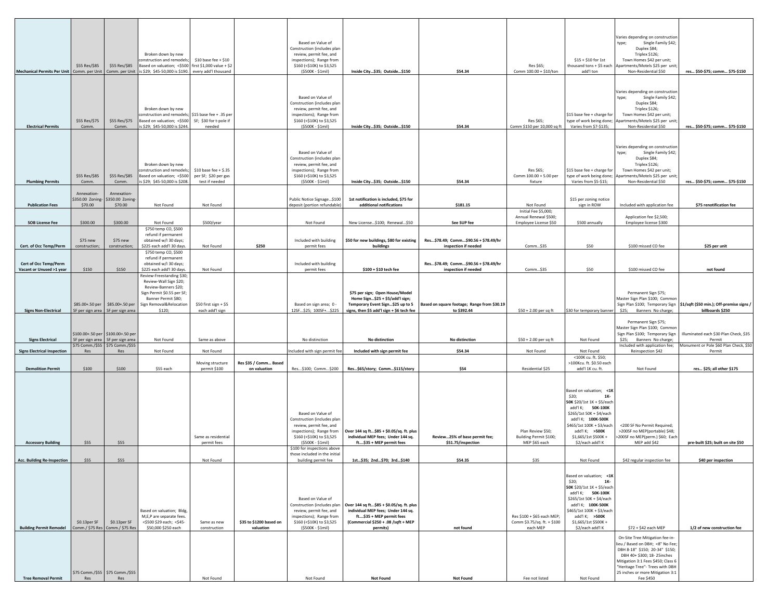|                                            |                                   |                                        |                                                                                                                            |                                               |                         |                                                        |                                                                                |                                             |                                                    |                                                        | Varies depending on construction                                      |                                                                             |
|--------------------------------------------|-----------------------------------|----------------------------------------|----------------------------------------------------------------------------------------------------------------------------|-----------------------------------------------|-------------------------|--------------------------------------------------------|--------------------------------------------------------------------------------|---------------------------------------------|----------------------------------------------------|--------------------------------------------------------|-----------------------------------------------------------------------|-----------------------------------------------------------------------------|
|                                            |                                   |                                        |                                                                                                                            |                                               |                         | Based on Value of<br>Construction (includes plan       |                                                                                |                                             |                                                    |                                                        | Single Family \$42;<br>type;<br>Duplex \$84;                          |                                                                             |
|                                            |                                   |                                        | Broken down by new<br>construction and remodels;                                                                           | $$10$ base fee + $$10$                        |                         | review, permit fee, and<br>inspections); Range from    |                                                                                |                                             |                                                    | $$15 + $10$ for 1st                                    | Triplex \$126;<br>Town Homes \$42 per unit;                           |                                                                             |
| Mechanical Permits Per Unit Comm. per Unit | \$55 Res/\$85                     | \$55 Res/\$85                          | Based on valuation; <\$500 first \$1,000 value + \$2<br>Comm. per Unit is \$29; \$45-50,000 is \$190. every add'I thousand |                                               |                         | \$160 (<\$10K) to \$3,525<br>(\$500K - \$1mil)         | Inside City\$35; Outside\$150                                                  | \$54.34                                     | Res \$65;<br>Comm 100.00 + \$10/ton                | thousand tons + \$5 each<br>add'l ton                  | Apartments/Motels \$25 per unit;<br>Non-Residential \$50              | res \$50-\$75; comm \$75-\$150                                              |
|                                            |                                   |                                        |                                                                                                                            |                                               |                         |                                                        |                                                                                |                                             |                                                    |                                                        |                                                                       |                                                                             |
|                                            |                                   |                                        |                                                                                                                            |                                               |                         |                                                        |                                                                                |                                             |                                                    |                                                        | Varies depending on construction                                      |                                                                             |
|                                            |                                   |                                        |                                                                                                                            |                                               |                         | Based on Value of<br>Construction (includes plan       |                                                                                |                                             |                                                    |                                                        | Single Family \$42;<br>type;<br>Duplex \$84;                          |                                                                             |
|                                            |                                   |                                        | Broken down by new<br>construction and remodels; \$15 base fee + .35 per                                                   |                                               |                         | review, permit fee, and<br>inspections); Range from    |                                                                                |                                             |                                                    | \$15 base fee + charge for                             | Triplex \$126;<br>Town Homes \$42 per unit;                           |                                                                             |
| <b>Electrical Permits</b>                  | \$55 Res/\$75<br>Comm.            | \$55 Res/\$75<br>Comm.                 | Based on valuation; <\$500<br>is \$29; \$45-50,000 is \$244.                                                               | SF; \$30 for t-pole if<br>needed              |                         | \$160 (<\$10K) to \$3,525<br>(\$500K - \$1mil)         | Inside City\$35; Outside\$150                                                  | \$54.34                                     | Res \$65;<br>Comm \$150 per 10,000 sq ft           | type of work being done;<br>Varies from \$7-\$135:     | Apartments/Motels \$25 per unit<br>Non-Residential \$50               | res \$50-\$75; comm \$75-\$150                                              |
|                                            |                                   |                                        |                                                                                                                            |                                               |                         |                                                        |                                                                                |                                             |                                                    |                                                        |                                                                       |                                                                             |
|                                            |                                   |                                        |                                                                                                                            |                                               |                         |                                                        |                                                                                |                                             |                                                    |                                                        | Varies depending on construction                                      |                                                                             |
|                                            |                                   |                                        |                                                                                                                            |                                               |                         | Based on Value of<br>Construction (includes plan       |                                                                                |                                             |                                                    |                                                        | Single Family \$42<br>type;                                           |                                                                             |
|                                            |                                   |                                        | Broken down by new                                                                                                         |                                               |                         | review, permit fee, and                                |                                                                                |                                             |                                                    |                                                        | Duplex \$84;<br>Triplex \$126;                                        |                                                                             |
|                                            | \$55 Res/\$85                     | \$55 Res/\$85                          | construction and remodels;<br>Based on valuation; <\$500                                                                   | \$10 base fee + \$.35<br>per SF; \$20 per gas |                         | inspections); Range from<br>\$160 (<\$10K) to \$3,525  |                                                                                |                                             | Res \$65;<br>Comm 100.00 + 5.00 per                | \$15 base fee + charge for<br>type of work being done; | Town Homes \$42 per unit;<br>Apartments/Motels \$25 per unit          |                                                                             |
| <b>Plumbing Permits</b>                    | Comm.                             | Comm.                                  | is \$29; \$45-50,000 is \$208.                                                                                             | test if needed                                |                         | (\$500K - \$1mil)                                      | Inside City\$35; Outside\$150                                                  | \$54.34                                     | fixture                                            | Varies from \$5-\$15;                                  | Non-Residential \$50                                                  | res \$50-\$75; comm \$75-\$150                                              |
|                                            | Annexation-<br>\$350.00 Zoning    | Annexation<br>350.00 Zoning-           |                                                                                                                            |                                               |                         | Public Notice Signage\$100                             | 1st notification is included, \$75 for                                         |                                             |                                                    | \$15 per zoning notice                                 |                                                                       |                                                                             |
| <b>Publication Fees</b>                    | \$70.00                           | \$70.00                                | Not Found                                                                                                                  | Not Found                                     |                         | deposit (portion refundable)                           | additional notifications                                                       | \$181.15                                    | Not Found<br>Initial Fee \$5,000;                  | sign in ROW                                            | Included with application fee                                         | \$75 renotification fee                                                     |
| <b>SOB License Fee</b>                     | \$300.00                          | \$300.00                               | Not Found                                                                                                                  | \$500/year                                    |                         | Not Found                                              | New License\$100; Renewal\$50                                                  | See SUP fee                                 | Annual Renewal \$500;<br>Employee License \$50     | \$500 annually                                         | Application fee \$2,500;<br>Employee license \$300                    |                                                                             |
|                                            |                                   |                                        | \$750 temp CO, \$500                                                                                                       |                                               |                         |                                                        |                                                                                |                                             |                                                    |                                                        |                                                                       |                                                                             |
|                                            | \$75 new                          | \$75 new                               | refund if permanent<br>obtained w/l 30 days:                                                                               |                                               |                         | Included with building                                 | \$50 for new buildings, \$80 for existing                                      | Res\$78.49: Comm\$90.56 + \$78.49/hr        |                                                    |                                                        |                                                                       |                                                                             |
| Cert. of Occ Temp/Perm                     | construction;                     | construction;                          | \$225 each add'l 30 days.<br>\$750 temp CO, \$500                                                                          | Not Found                                     | \$250                   | permit fees                                            | buildings                                                                      | inspection if needed                        | Comm\$35                                           | \$50                                                   | \$100 missed CO fee                                                   | \$25 per unit                                                               |
| Cert of Occ Temp/Perm                      |                                   |                                        | refund if permanent<br>obtained w/l 30 days;                                                                               |                                               |                         | Included with building                                 |                                                                                | Res\$78.49; Comm\$90.56 + \$78.49/hr        |                                                    |                                                        |                                                                       |                                                                             |
| Vacant or Unused >1 year                   | \$150                             | \$150                                  | \$225 each add'l 30 days.<br>Review-Freestanding \$30;                                                                     | Not Found                                     |                         | permit fees                                            | \$100 + \$10 tech fee                                                          | inspection if needed                        | Comm\$35                                           | \$50                                                   | \$100 missed CO fee                                                   | not found                                                                   |
|                                            |                                   |                                        | Review-Wall Sign \$20;<br>Review-Banners \$20;                                                                             |                                               |                         |                                                        |                                                                                |                                             |                                                    |                                                        |                                                                       |                                                                             |
|                                            |                                   |                                        | Sign Permit \$0.55 per SF;                                                                                                 |                                               |                         |                                                        | \$75 per sign; Open House/Model                                                |                                             |                                                    |                                                        | Permanent Sign \$75;                                                  |                                                                             |
|                                            |                                   | \$85.00+.50 per \$85.00+.50 per        | Banner Permit \$80;<br>Sign Removal&Relocation                                                                             | \$50 first sign + \$5                         |                         | Based on sign area; 0 -                                | Home Sign\$25 + \$5/add'l sign;<br>Temporary Event Sign\$25 up to 5            | Based on square footage; Range from \$30.19 |                                                    |                                                        | Master Sign Plan \$100; Common                                        | Sign Plan \$100; Temporary Sign   \$1/sqft (\$50 min.); Off-premise signs / |
| <b>Signs Non-Electrical</b>                | SF per sign area SF per sign area |                                        | \$120;                                                                                                                     | each add'l sign                               |                         | 12SF\$25; 100SF+\$225                                  | signs, then \$5 add'l sign + \$6 tech fee                                      | to \$392.44                                 | \$50 + 2.00 per sq ft                              |                                                        | \$30 for temporary banner \$25; Banners No charge;                    | billboards \$250                                                            |
|                                            |                                   |                                        |                                                                                                                            |                                               |                         |                                                        |                                                                                |                                             |                                                    |                                                        | Permanent Sign \$75;<br>Master Sign Plan \$100; Common                |                                                                             |
| <b>Signs Electrical</b>                    | \$100.00+.50 per \$100.00+.50 per | SF per sign area SF per sign area      | Not Found                                                                                                                  | Same as above                                 |                         | No distinction                                         | No distinction                                                                 | No distinction                              | \$50 + 2.00 per sq ft                              | Not Found                                              | Sign Plan \$100; Temporary Sign<br>\$25; Banners No charge;           | Illuminated each \$30 Plan Check, \$35<br>Permit                            |
| <b>Signs Electrical Inspection</b>         | \$75 Comm./\$55<br>Res            | \$75 Comm./\$55<br>Res                 | Not Found                                                                                                                  | Not Found                                     |                         | Included with sign permit fee                          | Included with sign permit fee                                                  | \$54.34                                     | Not Found                                          | Not Found                                              | Included with application fee;<br>Reinspection \$42                   | Monument or Pole \$60 Plan Check, \$50<br>Permit                            |
|                                            |                                   |                                        |                                                                                                                            | Moving structure                              | Res \$35 / Comm Based   |                                                        |                                                                                |                                             |                                                    | <100K cu. ft. \$50;<br>>100Kcu. ft. \$0.50 each        |                                                                       |                                                                             |
| <b>Demolition Permit</b>                   | \$100                             | \$100                                  | \$55 each                                                                                                                  | permit \$100                                  | on valuation            | Res\$100; Comm\$200                                    | Res\$65/story; Comm\$115/story                                                 | \$54                                        | Residential \$25                                   | add'l 1K cu. ft.                                       | Not Found                                                             | res \$25; all other \$175                                                   |
|                                            |                                   |                                        |                                                                                                                            |                                               |                         |                                                        |                                                                                |                                             |                                                    |                                                        |                                                                       |                                                                             |
|                                            |                                   |                                        |                                                                                                                            |                                               |                         |                                                        |                                                                                |                                             |                                                    | Based on valuation; <1K<br>\$20;<br>1K-                |                                                                       |                                                                             |
|                                            |                                   |                                        |                                                                                                                            |                                               |                         |                                                        |                                                                                |                                             |                                                    | 50K \$20/1st 1K + \$5/each                             |                                                                       |                                                                             |
|                                            |                                   |                                        |                                                                                                                            |                                               |                         | Based on Value of                                      |                                                                                |                                             |                                                    | add'l K;  50K-100K<br>\$265/1st 50K + \$4/each         |                                                                       |                                                                             |
|                                            |                                   |                                        |                                                                                                                            |                                               |                         | Construction (includes plan<br>review, permit fee, and |                                                                                |                                             |                                                    | add'l K; 100K-500K<br>\$465/1st 100K + \$3/each        | <200 SF No Permit Required;                                           |                                                                             |
|                                            |                                   |                                        |                                                                                                                            | Same as residential                           |                         | inspections); Range from<br>\$160 (<\$10K) to \$3,525  | Over 144 sq ft\$85 + \$0.05/sq. ft. plus<br>individual MEP fees; Under 144 sq. | Review25% of base permit fee:               | Plan Review \$50;<br><b>Building Permit \$100:</b> | add'l K; >500K<br>\$1,665/1st \$500K +                 | >200SF no MEP(portable) \$48;<br>>200SF no MEP(perm.) \$60; Each      |                                                                             |
| <b>Accessory Building</b>                  | \$55                              | \$55                                   |                                                                                                                            | permit fees                                   |                         | (\$500K - \$1mil)<br>\$100 for inspections above       | ft\$35 + MEP permit fees                                                       | \$51.75/inspection                          | MEP \$65 each                                      | \$2/each add'l K                                       | MEP add \$42                                                          | pre-built \$25; built on site \$50                                          |
| Acc. Building Re-Inspection                | \$55                              | \$55                                   |                                                                                                                            | Not Found                                     |                         | those included in the initial<br>building permit ree   | 1st\$35; 2nd\$70; 3rd\$140                                                     | \$54.35                                     | \$35                                               | Not Found                                              | \$42 regular inspection fee                                           | \$40 per inspection                                                         |
|                                            |                                   |                                        |                                                                                                                            |                                               |                         |                                                        |                                                                                |                                             |                                                    |                                                        |                                                                       |                                                                             |
|                                            |                                   |                                        |                                                                                                                            |                                               |                         |                                                        |                                                                                |                                             |                                                    | Based on valuation; <1K<br>\$20;<br>1K-                |                                                                       |                                                                             |
|                                            |                                   |                                        |                                                                                                                            |                                               |                         |                                                        |                                                                                |                                             |                                                    | 50K \$20/1st 1K + \$5/each                             |                                                                       |                                                                             |
|                                            |                                   |                                        |                                                                                                                            |                                               |                         | Based on Value of<br>Construction (includes plan       | Over 144 sq ft\$85 + \$0.05/sq. ft. plus                                       |                                             |                                                    | \$265/1st 50K + \$4/each<br>add'l K; 100K-500K         |                                                                       |                                                                             |
|                                            |                                   |                                        | Based on valuation: Bldg.                                                                                                  |                                               |                         | review, permit fee, and                                | individual MEP fees: Under 144 sq.<br>ft\$35 + MEP permit fees                 |                                             | Res \$100 + \$65 each MEP;                         | \$465/1st 100K + \$3/each<br>add'l K: >500K            |                                                                       |                                                                             |
|                                            | \$0.13per SF                      | \$0.13per SF                           | M,E,P are separate fees.<br><\$500 \$29 each; <\$45-                                                                       | Same as new                                   | \$35 to \$1200 based on | inspections); Range from<br>\$160 (<\$10K) to \$3,525  | (Commercial \$250 + .08 /sqft + MEP                                            |                                             | Comm \$3.75/sq. ft. + \$100                        | \$1,665/1st \$500K +                                   |                                                                       |                                                                             |
| <b>Building Permit Remodel</b>             | Comm./ \$75 Res Comm./ \$75 Res   |                                        | \$50,000 \$250 each                                                                                                        | construction                                  | valuation               | (\$500K - \$1mil)                                      | permits)                                                                       | not found                                   | each MEP                                           | \$2/each add'l K                                       | \$72 + \$42 each MEP                                                  | 1/2 of new construction fee                                                 |
|                                            |                                   |                                        |                                                                                                                            |                                               |                         |                                                        |                                                                                |                                             |                                                    |                                                        | On-Site Tree Mitigation fee-in-<br>lieu / Based on DBH; <8" No Fee;   |                                                                             |
|                                            |                                   |                                        |                                                                                                                            |                                               |                         |                                                        |                                                                                |                                             |                                                    |                                                        | DBH 8-18" \$150; 20-34" \$150;<br>DBH 40+ \$300; 18-25inches          |                                                                             |
|                                            |                                   |                                        |                                                                                                                            |                                               |                         |                                                        |                                                                                |                                             |                                                    |                                                        | Mitigation 3:1 Fees \$450; Class 6<br>"Heritage Tree"- Trees with DBH |                                                                             |
|                                            | Res                               | \$75 Comm./\$55 \$75 Comm./\$55<br>Res |                                                                                                                            | Not Found                                     |                         | Not Found                                              | <b>Not Found</b>                                                               | <b>Not Found</b>                            | Fee not listed                                     | Not Found                                              | 25 inches or more Mitigation 3:1<br>Fee \$450                         |                                                                             |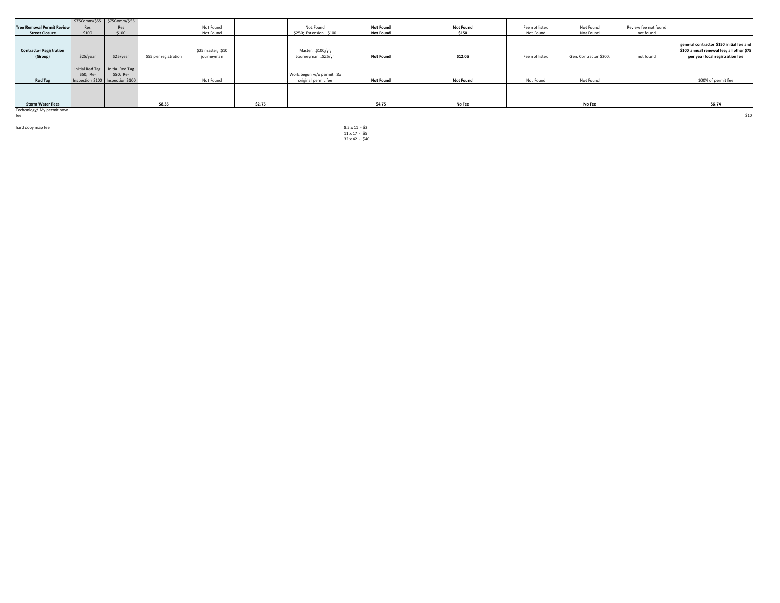|                                           |                 | \$75Comm/\$55 \$75Comm/\$55         |                       |                                 |        |                                      |                  |                  |                |                        |                      |                                                                                                                         |
|-------------------------------------------|-----------------|-------------------------------------|-----------------------|---------------------------------|--------|--------------------------------------|------------------|------------------|----------------|------------------------|----------------------|-------------------------------------------------------------------------------------------------------------------------|
| <b>Tree Removal Permit Review</b>         | Res             | Res                                 |                       | Not Found                       |        | Not Found                            | <b>Not Found</b> | <b>Not Found</b> | Fee not listed | Not Found              | Review fee not found |                                                                                                                         |
| <b>Street Closure</b>                     | \$100           | \$100                               |                       | Not Found                       |        | \$250; Extension\$100                | <b>Not Found</b> | \$150            | Not Found      | Not Found              | not found            |                                                                                                                         |
| <b>Contractor Registration</b><br>(Group) | \$25/year       | \$25/year                           | \$55 per registration | \$25 master; \$10<br>journeyman |        | Master\$100/yr;<br>Journeyman\$25/yr | <b>Not Found</b> | \$12.05          | Fee not listed | Gen. Contractor \$200: | not found            | general contractor \$150 initial fee and<br>\$100 annual renewal fee; all other \$75<br>per year local registration fee |
|                                           |                 |                                     |                       |                                 |        |                                      |                  |                  |                |                        |                      |                                                                                                                         |
|                                           | Initial Red Tag | Initial Red Tag                     |                       |                                 |        |                                      |                  |                  |                |                        |                      |                                                                                                                         |
|                                           | \$50; Re-       | \$50; Re-                           |                       |                                 |        | Work begun w/o permit2x              |                  |                  |                |                        |                      |                                                                                                                         |
| <b>Red Tag</b>                            |                 | Inspection \$100   Inspection \$100 |                       | Not Found                       |        | original permit fee                  | <b>Not Found</b> | <b>Not Found</b> | Not Found      | Not Found              |                      | 100% of permit fee                                                                                                      |
| <b>Storm Water Fees</b>                   |                 |                                     | \$8.35                |                                 | \$2.75 |                                      | \$4.75           | No Fee           |                | No Fee                 |                      | \$6.74                                                                                                                  |
| Techonlogy/ My permit now<br>fee          |                 |                                     |                       |                                 |        |                                      |                  |                  |                |                        |                      | \$10                                                                                                                    |

hard copy map fee

11 x 17 - \$5 32 x 42 - \$40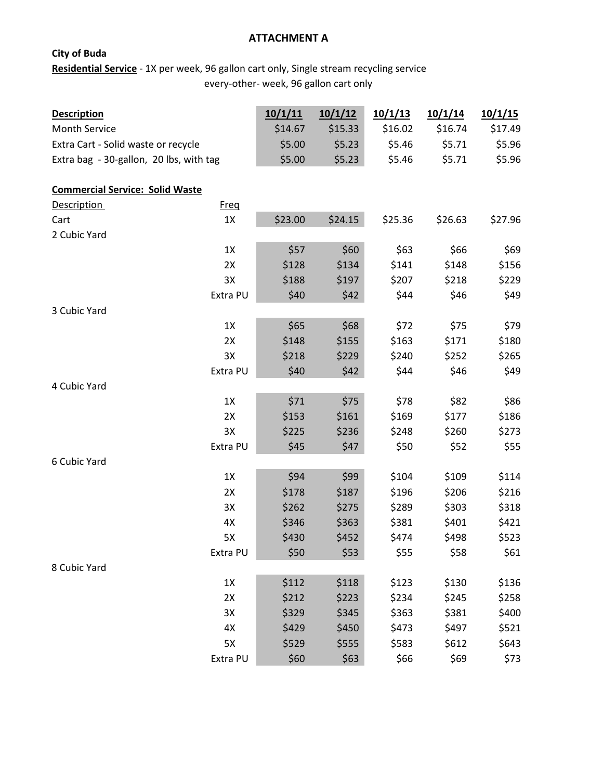## **ATTACHMENT A**

## **City of Buda**

**Residential Service** - 1X per week, 96 gallon cart only, Single stream recycling service

every-other- week, 96 gallon cart only

| <b>Description</b>                      |             | 10/1/11 | 10/1/12 | 10/1/13 | 10/1/14 | 10/1/15 |
|-----------------------------------------|-------------|---------|---------|---------|---------|---------|
| Month Service                           | \$14.67     | \$15.33 | \$16.02 | \$16.74 | \$17.49 |         |
| Extra Cart - Solid waste or recycle     |             | \$5.00  | \$5.23  | \$5.46  | \$5.71  | \$5.96  |
| Extra bag - 30-gallon, 20 lbs, with tag |             | \$5.00  | \$5.23  | \$5.46  | \$5.71  | \$5.96  |
|                                         |             |         |         |         |         |         |
| <b>Commercial Service: Solid Waste</b>  |             |         |         |         |         |         |
| <b>Description</b>                      | <b>Freg</b> |         |         |         |         |         |
| Cart                                    | 1X          | \$23.00 | \$24.15 | \$25.36 | \$26.63 | \$27.96 |
| 2 Cubic Yard                            |             |         |         |         |         |         |
|                                         | 1X          | \$57    | \$60    | \$63    | \$66    | \$69    |
|                                         | 2X          | \$128   | \$134   | \$141   | \$148   | \$156   |
|                                         | 3X          | \$188   | \$197   | \$207   | \$218   | \$229   |
|                                         | Extra PU    | \$40    | \$42    | \$44    | \$46    | \$49    |
| 3 Cubic Yard                            |             |         |         |         |         |         |
|                                         | 1X          | \$65    | \$68    | \$72    | \$75    | \$79    |
|                                         | 2X          | \$148   | \$155   | \$163   | \$171   | \$180   |
|                                         | 3X          | \$218   | \$229   | \$240   | \$252   | \$265   |
|                                         | Extra PU    | \$40    | \$42    | \$44    | \$46    | \$49    |
| 4 Cubic Yard                            |             |         |         |         |         |         |
|                                         | 1X          | \$71    | \$75    | \$78    | \$82    | \$86    |
|                                         | 2X          | \$153   | \$161   | \$169   | \$177   | \$186   |
|                                         | 3X          | \$225   | \$236   | \$248   | \$260   | \$273   |
|                                         | Extra PU    | \$45    | \$47    | \$50    | \$52    | \$55    |
| 6 Cubic Yard                            |             |         |         |         |         |         |
|                                         | 1X          | \$94    | \$99    | \$104   | \$109   | \$114   |
|                                         | 2X          | \$178   | \$187   | \$196   | \$206   | \$216   |
|                                         | 3X          | \$262   | \$275   | \$289   | \$303   | \$318   |
|                                         | 4X          | \$346   | \$363   | \$381   | \$401   | \$421   |
|                                         | 5X          | \$430   | \$452   | \$474   | \$498   | \$523   |
|                                         | Extra PU    | \$50    | \$53    | \$55    | \$58    | \$61    |
| 8 Cubic Yard                            |             |         |         |         |         |         |
|                                         | 1X          | \$112   | \$118   | \$123   | \$130   | \$136   |
|                                         | 2X          | \$212   | \$223   | \$234   | \$245   | \$258   |
|                                         | 3X          | \$329   | \$345   | \$363   | \$381   | \$400   |
|                                         | 4X          | \$429   | \$450   | \$473   | \$497   | \$521   |
|                                         | 5X          | \$529   | \$555   | \$583   | \$612   | \$643   |
|                                         | Extra PU    | \$60    | \$63    | \$66    | \$69    | \$73    |